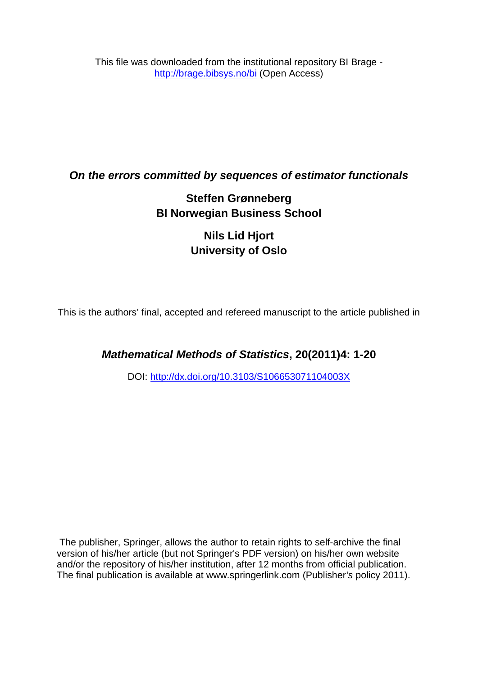This file was downloaded from the institutional repository BI Brage <http://brage.bibsys.no/bi> (Open Access)

## *On the errors committed by sequences of estimator functionals*

# **Steffen Grønneberg BI Norwegian Business School**

# **Nils Lid Hjort University of Oslo**

This is the authors' final, accepted and refereed manuscript to the article published in

## *Mathematical Methods of Statistics***, 20(2011)4: 1-20**

DOI: <http://dx.doi.org/10.3103/S106653071104003X>

The publisher, Springer, allows the author to retain rights to self-archive the final version of his/her article (but not Springer's PDF version) on his/her own website and/or the repository of his/her institution, after 12 months from official publication. The final publication is available at www.springerlink.com (Publisher*'s* policy 2011).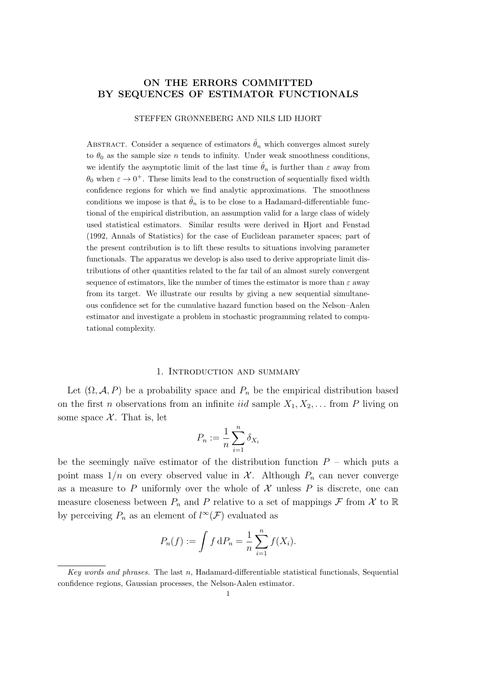### ON THE ERRORS COMMITTED BY SEQUENCES OF ESTIMATOR FUNCTIONALS

#### STEFFEN GRØNNEBERG AND NILS LID HJORT

ABSTRACT. Consider a sequence of estimators  $\hat{\theta}_n$  which converges almost surely to  $\theta_0$  as the sample size n tends to infinity. Under weak smoothness conditions, we identify the asymptotic limit of the last time  $\hat{\theta}_n$  is further than  $\varepsilon$  away from  $\theta_0$  when  $\varepsilon \to 0^+$ . These limits lead to the construction of sequentially fixed width confidence regions for which we find analytic approximations. The smoothness conditions we impose is that  $\hat{\theta}_n$  is to be close to a Hadamard-differentiable functional of the empirical distribution, an assumption valid for a large class of widely used statistical estimators. Similar results were derived in Hjort and Fenstad (1992, Annals of Statistics) for the case of Euclidean parameter spaces; part of the present contribution is to lift these results to situations involving parameter functionals. The apparatus we develop is also used to derive appropriate limit distributions of other quantities related to the far tail of an almost surely convergent sequence of estimators, like the number of times the estimator is more than  $\varepsilon$  away from its target. We illustrate our results by giving a new sequential simultaneous confidence set for the cumulative hazard function based on the Nelson–Aalen estimator and investigate a problem in stochastic programming related to computational complexity.

#### 1. Introduction and summary

Let  $(\Omega, \mathcal{A}, P)$  be a probability space and  $P_n$  be the empirical distribution based on the first *n* observations from an infinite *iid* sample  $X_1, X_2, \ldots$  from *P* living on some space  $X$ . That is, let

$$
P_n := \frac{1}{n} \sum_{i=1}^n \delta_{X_i}
$$

be the seemingly naïve estimator of the distribution function  $P$  – which puts a point mass  $1/n$  on every observed value in X. Although  $P_n$  can never converge as a measure to P uniformly over the whole of  $\mathcal X$  unless P is discrete, one can measure closeness between  $P_n$  and P relative to a set of mappings F from X to R by perceiving  $P_n$  as an element of  $l^{\infty}(\mathcal{F})$  evaluated as

$$
P_n(f) := \int f \, dP_n = \frac{1}{n} \sum_{i=1}^n f(X_i).
$$

Key words and phrases. The last n, Hadamard-differentiable statistical functionals, Sequential confidence regions, Gaussian processes, the Nelson-Aalen estimator.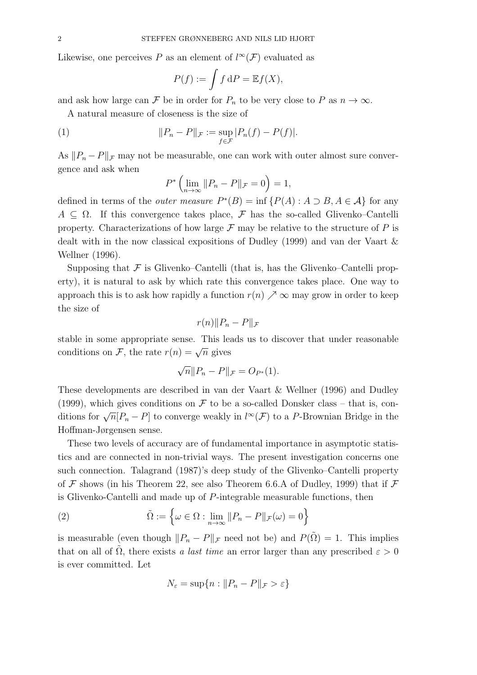Likewise, one perceives  $P$  as an element of  $l^{\infty}(\mathcal{F})$  evaluated as

$$
P(f) := \int f \, \mathrm{d}P = \mathbb{E}f(X),
$$

and ask how large can F be in order for  $P_n$  to be very close to P as  $n \to \infty$ .

A natural measure of closeness is the size of

(1) 
$$
||P_n - P||_{\mathcal{F}} := \sup_{f \in \mathcal{F}} |P_n(f) - P(f)|.
$$

As  $||P_n - P||$  may not be measurable, one can work with outer almost sure convergence and ask when

$$
P^*\left(\lim_{n\to\infty}||P_n-P||_{\mathcal{F}}=0\right)=1,
$$

defined in terms of the *outer measure*  $P^*(B) = \inf \{ P(A) : A \supset B, A \in \mathcal{A} \}$  for any  $A \subseteq \Omega$ . If this convergence takes place, F has the so-called Glivenko–Cantelli property. Characterizations of how large  $\mathcal F$  may be relative to the structure of  $P$  is dealt with in the now classical expositions of Dudley (1999) and van der Vaart & Wellner (1996).

Supposing that  $\mathcal F$  is Glivenko–Cantelli (that is, has the Glivenko–Cantelli property), it is natural to ask by which rate this convergence takes place. One way to approach this is to ask how rapidly a function  $r(n) \nearrow \infty$  may grow in order to keep the size of

$$
r(n)||P_n - P||_{\mathcal{F}}
$$

stable in some appropriate sense. This leads us to discover that under reasonable conditions on  $\mathcal{F}$ , the rate  $r(n) = \sqrt{n}$  gives

$$
\sqrt{n}||P_n - P||_{\mathcal{F}} = O_{P^*}(1).
$$

These developments are described in van der Vaart & Wellner (1996) and Dudley (1999), which gives conditions on  $\mathcal F$  to be a so-called Donsker class – that is, conditions for  $\sqrt{n}[P_n - P]$  to converge weakly in  $l^{\infty}(\mathcal{F})$  to a P-Brownian Bridge in the Hoffman-Jørgensen sense.

These two levels of accuracy are of fundamental importance in asymptotic statistics and are connected in non-trivial ways. The present investigation concerns one such connection. Talagrand (1987)'s deep study of the Glivenko–Cantelli property of  $\mathcal F$  shows (in his Theorem 22, see also Theorem 6.6.A of Dudley, 1999) that if  $\mathcal F$ is Glivenko-Cantelli and made up of P-integrable measurable functions, then

(2) 
$$
\tilde{\Omega} := \left\{ \omega \in \Omega : \lim_{n \to \infty} ||P_n - P||_{\mathcal{F}}(\omega) = 0 \right\}
$$

is measurable (even though  $||P_n - P||_{\mathcal{F}}$  need not be) and  $P(\hat{\Omega}) = 1$ . This implies that on all of  $\tilde{\Omega}$ , there exists a last time an error larger than any prescribed  $\varepsilon > 0$ is ever committed. Let

$$
N_{\varepsilon} = \sup\{n : ||P_n - P||_{\mathcal{F}} > \varepsilon\}
$$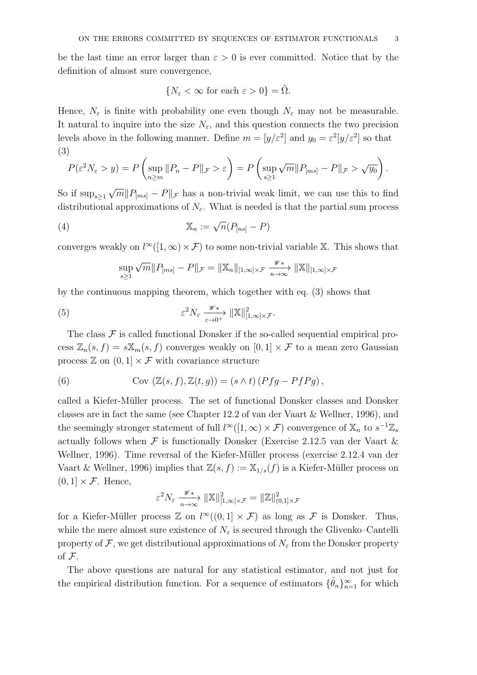be the last time an error larger than  $\varepsilon > 0$  is ever committed. Notice that by the definition of almost sure convergence,

$$
\{N_{\varepsilon} < \infty \text{ for each } \varepsilon > 0\} = \tilde{\Omega}.
$$

Hence,  $N_{\varepsilon}$  is finite with probability one even though  $N_{\varepsilon}$  may not be measurable. It natural to inquire into the size  $N_{\varepsilon}$ , and this question connects the two precision levels above in the following manner. Define  $m = [y/\varepsilon^2]$  and  $y_0 = \varepsilon^2[y/\varepsilon^2]$  so that (3)

$$
P(\varepsilon^2 N_{\varepsilon} > y) = P\left(\sup_{n \ge m} \|P_n - P\|_{\mathcal{F}} > \varepsilon\right) = P\left(\sup_{s \ge 1} \sqrt{m} \|P_{[ms]} - P\|_{\mathcal{F}} > \sqrt{y_0}\right).
$$

So if  $\sup_{s\geq 1} \sqrt{m} ||P_{[ms]} - P||_{\mathcal{F}}$  has a non-trivial weak limit, we can use this to find distributional approximations of  $N_{\varepsilon}$ . What is needed is that the partial sum process

(4) 
$$
\mathbb{X}_n := \sqrt{n}(P_{[ns]} - P)
$$

converges weakly on  $l^{\infty}([1,\infty) \times \mathcal{F})$  to some non-trivial variable X. This shows that

$$
\sup_{s\geq 1} \sqrt{m} ||P_{[ms]} - P||_{\mathcal{F}} = ||\mathbb{X}_n||_{[1,\infty]\times \mathcal{F}} \xrightarrow[n \to \infty]{\mathscr{W}} ||\mathbb{X}||_{[1,\infty]\times \mathcal{F}}
$$

by the continuous mapping theorem, which together with eq. (3) shows that

(5) 
$$
\varepsilon^2 N_{\varepsilon} \xrightarrow[\varepsilon \to 0^+]{\mathscr{W}}^* \to ||\mathbb{X}||^2_{[1,\infty] \times \mathcal{F}}.
$$

The class  $\mathcal F$  is called functional Donsker if the so-called sequential empirical process  $\mathbb{Z}_n(s, f) = s\mathbb{X}_m(s, f)$  converges weakly on  $[0, 1] \times \mathcal{F}$  to a mean zero Gaussian process  $\mathbb{Z}$  on  $(0, 1] \times \mathcal{F}$  with covariance structure

(6) Cov 
$$
(\mathbb{Z}(s, f), \mathbb{Z}(t, g)) = (s \wedge t) (Pfg - PfPg)
$$
,

called a Kiefer-Müller process. The set of functional Donsker classes and Donsker classes are in fact the same (see Chapter 12.2 of van der Vaart & Wellner, 1996), and the seemingly stronger statement of full  $l^{\infty}([1,\infty) \times \mathcal{F})$  convergence of  $\mathbb{X}_n$  to  $s^{-1}\mathbb{Z}_s$ actually follows when  $\mathcal F$  is functionally Donsker (Exercise 2.12.5 van der Vaart  $\&$ Wellner, 1996). Time reversal of the Kiefer-Müller process (exercise 2.12.4 van der Vaart & Wellner, 1996) implies that  $\mathbb{Z}(s, f) := \mathbb{X}_{1/s}(f)$  is a Kiefer-Müller process on  $(0, 1] \times \mathcal{F}$ . Hence,

$$
\varepsilon^2 N_{\varepsilon} \xrightarrow[n \to \infty]{\mathscr{W}} ||\mathbb{X}||_{[1,\infty] \times \mathcal{F}}^2 = ||\mathbb{Z}||_{(0,1] \times \mathcal{F}}^2
$$

for a Kiefer-Müller process  $\mathbb{Z}$  on  $l^{\infty}((0,1] \times \mathcal{F})$  as long as  $\mathcal F$  is Donsker. Thus, while the mere almost sure existence of  $N_{\varepsilon}$  is secured through the Glivenko–Cantelli property of  $\mathcal F$ , we get distributional approximations of  $N_{\varepsilon}$  from the Donsker property of F.

The above questions are natural for any statistical estimator, and not just for the empirical distribution function. For a sequence of estimators  $\{\hat{\theta}_n\}_{n=1}^{\infty}$  for which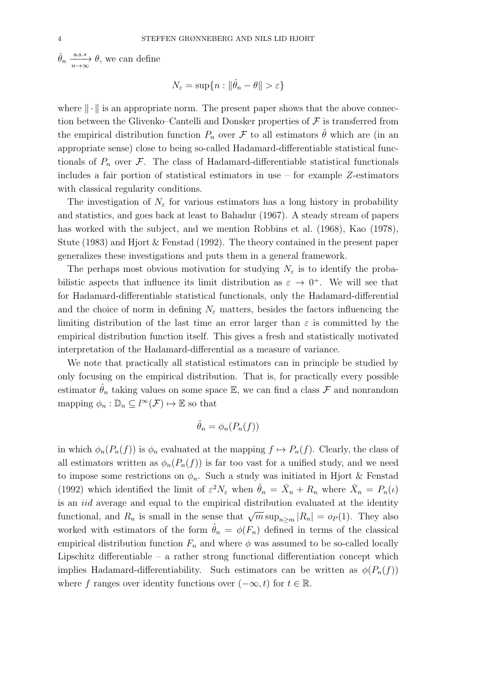$\hat{\theta}_n \xrightarrow[n \to \infty]{\text{a.s.}\ast} \theta$ , we can define

$$
N_{\varepsilon} = \sup\{n : \|\hat{\theta}_n - \theta\| > \varepsilon\}
$$

where  $\|\cdot\|$  is an appropriate norm. The present paper shows that the above connection between the Glivenko–Cantelli and Donsker properties of  $\mathcal F$  is transferred from the empirical distribution function  $P_n$  over  $\mathcal F$  to all estimators  $\hat \theta$  which are (in an appropriate sense) close to being so-called Hadamard-differentiable statistical functionals of  $P_n$  over  $\mathcal F$ . The class of Hadamard-differentiable statistical functionals includes a fair portion of statistical estimators in use – for example Z-estimators with classical regularity conditions.

The investigation of  $N_{\varepsilon}$  for various estimators has a long history in probability and statistics, and goes back at least to Bahadur (1967). A steady stream of papers has worked with the subject, and we mention Robbins et al. (1968), Kao (1978), Stute (1983) and Hjort & Fenstad (1992). The theory contained in the present paper generalizes these investigations and puts them in a general framework.

The perhaps most obvious motivation for studying  $N_{\varepsilon}$  is to identify the probabilistic aspects that influence its limit distribution as  $\varepsilon \to 0^+$ . We will see that for Hadamard-differentiable statistical functionals, only the Hadamard-differential and the choice of norm in defining  $N_{\varepsilon}$  matters, besides the factors influencing the limiting distribution of the last time an error larger than  $\varepsilon$  is committed by the empirical distribution function itself. This gives a fresh and statistically motivated interpretation of the Hadamard-differential as a measure of variance.

We note that practically all statistical estimators can in principle be studied by only focusing on the empirical distribution. That is, for practically every possible estimator  $\hat{\theta}_n$  taking values on some space E, we can find a class F and nonrandom mapping  $\phi_n : \mathbb{D}_n \subseteq l^{\infty}(\mathcal{F}) \mapsto \mathbb{E}$  so that

$$
\hat{\theta}_n = \phi_n(P_n(f))
$$

in which  $\phi_n(P_n(f))$  is  $\phi_n$  evaluated at the mapping  $f \mapsto P_n(f)$ . Clearly, the class of all estimators written as  $\phi_n(P_n(f))$  is far too vast for a unified study, and we need to impose some restrictions on  $\phi_n$ . Such a study was initiated in Hjort & Fenstad (1992) which identified the limit of  $\varepsilon^2 N_{\varepsilon}$  when  $\hat{\theta}_n = \bar{X}_n + R_n$  where  $\bar{X}_n = P_n(t)$ is an iid average and equal to the empirical distribution evaluated at the identity functional, and  $R_n$  is small in the sense that  $\sqrt{m} \sup_{n \ge m} |R_n| = o_P(1)$ . They also worked with estimators of the form  $\hat{\theta}_n = \phi(F_n)$  defined in terms of the classical empirical distribution function  $F_n$  and where  $\phi$  was assumed to be so-called locally Lipschitz differentiable – a rather strong functional differentiation concept which implies Hadamard-differentiability. Such estimators can be written as  $\phi(P_n(f))$ where f ranges over identity functions over  $(-\infty, t)$  for  $t \in \mathbb{R}$ .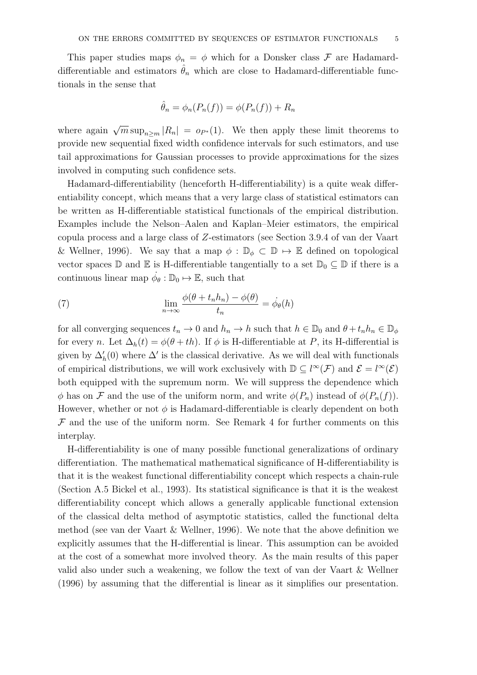This paper studies maps  $\phi_n = \phi$  which for a Donsker class F are Hadamarddifferentiable and estimators  $\hat{\theta}_n$  which are close to Hadamard-differentiable functionals in the sense that

$$
\hat{\theta}_n = \phi_n(P_n(f)) = \phi(P_n(f)) + R_n
$$

where again  $\sqrt{m} \sup_{n \ge m} |R_n| = o_{P^*}(1)$ . We then apply these limit theorems to provide new sequential fixed width confidence intervals for such estimators, and use tail approximations for Gaussian processes to provide approximations for the sizes involved in computing such confidence sets.

Hadamard-differentiability (henceforth H-differentiability) is a quite weak differentiability concept, which means that a very large class of statistical estimators can be written as H-differentiable statistical functionals of the empirical distribution. Examples include the Nelson–Aalen and Kaplan–Meier estimators, the empirical copula process and a large class of Z-estimators (see Section 3.9.4 of van der Vaart & Wellner, 1996). We say that a map  $\phi : \mathbb{D}_{\phi} \subset \mathbb{D} \mapsto \mathbb{E}$  defined on topological vector spaces  $\mathbb D$  and  $\mathbb E$  is H-differentiable tangentially to a set  $\mathbb D_0 \subseteq \mathbb D$  if there is a continuous linear map  $\dot{\phi}_{\theta} : \mathbb{D}_0 \mapsto \mathbb{E}$ , such that

(7) 
$$
\lim_{n \to \infty} \frac{\phi(\theta + t_n h_n) - \phi(\theta)}{t_n} = \dot{\phi}_{\theta}(h)
$$

for all converging sequences  $t_n \to 0$  and  $h_n \to h$  such that  $h \in \mathbb{D}_0$  and  $\theta + t_n h_n \in \mathbb{D}_\phi$ for every n. Let  $\Delta_h(t) = \phi(\theta + th)$ . If  $\phi$  is H-differentiable at P, its H-differential is given by  $\Delta'_{h}(0)$  where  $\Delta'$  is the classical derivative. As we will deal with functionals of empirical distributions, we will work exclusively with  $\mathbb{D} \subseteq l^{\infty}(\mathcal{F})$  and  $\mathcal{E} = l^{\infty}(\mathcal{E})$ both equipped with the supremum norm. We will suppress the dependence which  $\phi$  has on F and the use of the uniform norm, and write  $\phi(P_n)$  instead of  $\phi(P_n(f))$ . However, whether or not  $\phi$  is Hadamard-differentiable is clearly dependent on both  $\mathcal F$  and the use of the uniform norm. See Remark 4 for further comments on this interplay.

H-differentiability is one of many possible functional generalizations of ordinary differentiation. The mathematical mathematical significance of H-differentiability is that it is the weakest functional differentiability concept which respects a chain-rule (Section A.5 Bickel et al., 1993). Its statistical significance is that it is the weakest differentiability concept which allows a generally applicable functional extension of the classical delta method of asymptotic statistics, called the functional delta method (see van der Vaart & Wellner, 1996). We note that the above definition we explicitly assumes that the H-differential is linear. This assumption can be avoided at the cost of a somewhat more involved theory. As the main results of this paper valid also under such a weakening, we follow the text of van der Vaart & Wellner (1996) by assuming that the differential is linear as it simplifies our presentation.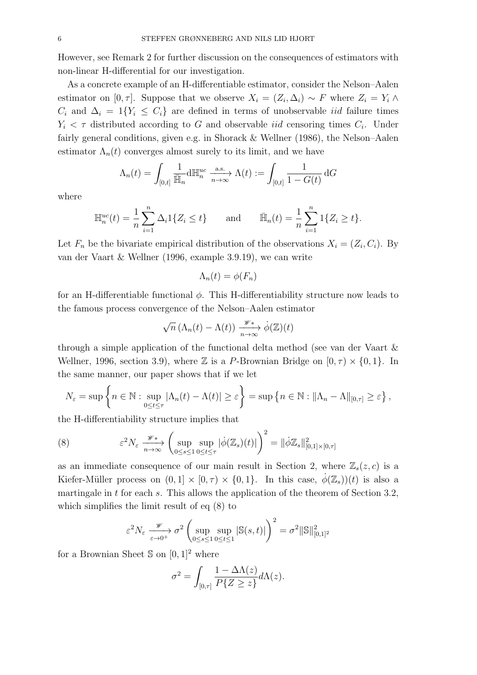However, see Remark 2 for further discussion on the consequences of estimators with non-linear H-differential for our investigation.

As a concrete example of an H-differentiable estimator, consider the Nelson–Aalen estimator on [0,  $\tau$ ]. Suppose that we observe  $X_i = (Z_i, \Delta_i) \sim F$  where  $Z_i = Y_i \wedge \Delta_i$  $C_i$  and  $\Delta_i = 1\{Y_i \leq C_i\}$  are defined in terms of unobservable *iid* failure times  $Y_i < \tau$  distributed according to G and observable *iid* censoring times  $C_i$ . Under fairly general conditions, given e.g. in Shorack & Wellner (1986), the Nelson–Aalen estimator  $\Lambda_n(t)$  converges almost surely to its limit, and we have

$$
\Lambda_n(t) = \int_{[0,t]} \frac{1}{\bar{\mathbb{H}}_n} d\mathbb{H}_n^{uc} \xrightarrow[n \to \infty]{\text{a.s.}} \Lambda(t) := \int_{[0,t]} \frac{1}{1 - G(t)} dG
$$

where

$$
\mathbb{H}_n^{uc}(t) = \frac{1}{n} \sum_{i=1}^n \Delta_i 1\{Z_i \le t\} \quad \text{and} \quad \bar{\mathbb{H}}_n(t) = \frac{1}{n} \sum_{i=1}^n 1\{Z_i \ge t\}.
$$

Let  $F_n$  be the bivariate empirical distribution of the observations  $X_i = (Z_i, C_i)$ . By van der Vaart & Wellner (1996, example 3.9.19), we can write

$$
\Lambda_n(t) = \phi(F_n)
$$

for an H-differentiable functional  $\phi$ . This H-differentiability structure now leads to the famous process convergence of the Nelson–Aalen estimator

$$
\sqrt{n} \left( \Lambda_n(t) - \Lambda(t) \right) \xrightarrow[n \to \infty]{\mathscr{W}} \phi(\mathbb{Z})(t)
$$

through a simple application of the functional delta method (see van der Vaart & Wellner, 1996, section 3.9), where  $\mathbb Z$  is a P-Brownian Bridge on  $[0, \tau) \times \{0, 1\}$ . In the same manner, our paper shows that if we let

$$
N_{\varepsilon} = \sup \left\{ n \in \mathbb{N} : \sup_{0 \le t \le \tau} |\Lambda_n(t) - \Lambda(t)| \ge \varepsilon \right\} = \sup \left\{ n \in \mathbb{N} : ||\Lambda_n - \Lambda||_{[0,\tau]} \ge \varepsilon \right\},\,
$$

the H-differentiability structure implies that

(8) 
$$
\varepsilon^2 N_{\varepsilon} \xrightarrow[n \to \infty]{} \left( \sup_{0 \le s \le 1} \sup_{0 \le t \le \tau} |\dot{\phi}(\mathbb{Z}_s)(t)| \right)^2 = ||\dot{\phi}\mathbb{Z}_s||^2_{[0,1] \times [0,\tau]}
$$

as an immediate consequence of our main result in Section 2, where  $\mathbb{Z}_s(z, c)$  is a Kiefer-Müller process on  $(0, 1] \times [0, \tau) \times \{0, 1\}$ . In this case,  $\phi(\mathbb{Z}_s)(t)$  is also a martingale in  $t$  for each  $s$ . This allows the application of the theorem of Section 3.2, which simplifies the limit result of eq (8) to

$$
\varepsilon^2 N_{\varepsilon} \xrightarrow[\varepsilon \to 0^+]{} \sigma^2 \left( \sup_{0 \le s \le 1} \sup_{0 \le t \le 1} |\mathbb{S}(s, t)| \right)^2 = \sigma^2 ||\mathbb{S}||^2_{[0, 1]^2}
$$

for a Brownian Sheet  $\Im$  on  $[0, 1]^2$  where

$$
\sigma^2 = \int_{[0,\tau]} \frac{1 - \Delta \Lambda(z)}{P\{Z \geq z\}} d\Lambda(z).
$$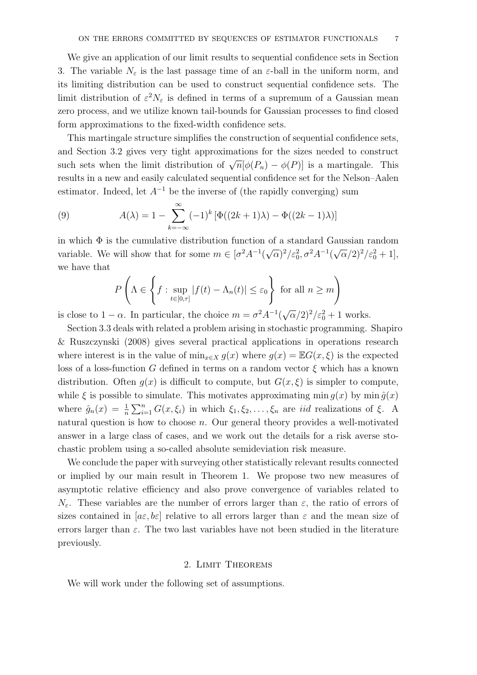We give an application of our limit results to sequential confidence sets in Section 3. The variable  $N_{\varepsilon}$  is the last passage time of an  $\varepsilon$ -ball in the uniform norm, and its limiting distribution can be used to construct sequential confidence sets. The limit distribution of  $\varepsilon^2 N_{\varepsilon}$  is defined in terms of a supremum of a Gaussian mean zero process, and we utilize known tail-bounds for Gaussian processes to find closed form approximations to the fixed-width confidence sets.

This martingale structure simplifies the construction of sequential confidence sets, and Section 3.2 gives very tight approximations for the sizes needed to construct such sets when the limit distribution of  $\sqrt{n}[\phi(P_n) - \phi(P)]$  is a martingale. This results in a new and easily calculated sequential confidence set for the Nelson–Aalen estimator. Indeed, let  $A^{-1}$  be the inverse of (the rapidly converging) sum

(9) 
$$
A(\lambda) = 1 - \sum_{k=-\infty}^{\infty} (-1)^k \left[ \Phi((2k+1)\lambda) - \Phi((2k-1)\lambda) \right]
$$

in which  $\Phi$  is the cumulative distribution function of a standard Gaussian random variable. We will show that for some  $m \in [\sigma^2 A^{-1}(\sqrt{\alpha})^2/\varepsilon_0^2, \sigma^2 A^{-1}(\sqrt{\alpha}/2)^2/\varepsilon_0^2 + 1],$ we have that

$$
P\left(\Lambda \in \left\{f : \sup_{t \in [0,\tau]} |f(t) - \Lambda_n(t)| \le \varepsilon_0\right\} \text{ for all } n \ge m\right)
$$

is close to  $1 - \alpha$ . In particular, the choice  $m = \sigma^2 A^{-1} (\sqrt{\alpha}/2)^2 / \epsilon_0^2 + 1$  works.

Section 3.3 deals with related a problem arising in stochastic programming. Shapiro & Ruszczynski (2008) gives several practical applications in operations research where interest is in the value of  $\min_{x \in X} g(x)$  where  $g(x) = \mathbb{E}G(x, \xi)$  is the expected loss of a loss-function G defined in terms on a random vector  $\xi$  which has a known distribution. Often  $g(x)$  is difficult to compute, but  $G(x,\xi)$  is simpler to compute, while  $\xi$  is possible to simulate. This motivates approximating min  $g(x)$  by min  $\hat{g}(x)$ where  $\hat{g}_n(x) = \frac{1}{n} \sum_{i=1}^n G(x, \xi_i)$  in which  $\xi_1, \xi_2, \ldots, \xi_n$  are *iid* realizations of  $\xi$ . A natural question is how to choose  $n$ . Our general theory provides a well-motivated answer in a large class of cases, and we work out the details for a risk averse stochastic problem using a so-called absolute semideviation risk measure.

We conclude the paper with surveying other statistically relevant results connected or implied by our main result in Theorem 1. We propose two new measures of asymptotic relative efficiency and also prove convergence of variables related to  $N_{\varepsilon}$ . These variables are the number of errors larger than  $\varepsilon$ , the ratio of errors of sizes contained in  $[a \varepsilon, b \varepsilon]$  relative to all errors larger than  $\varepsilon$  and the mean size of errors larger than  $\varepsilon$ . The two last variables have not been studied in the literature previously.

#### 2. Limit Theorems

We will work under the following set of assumptions.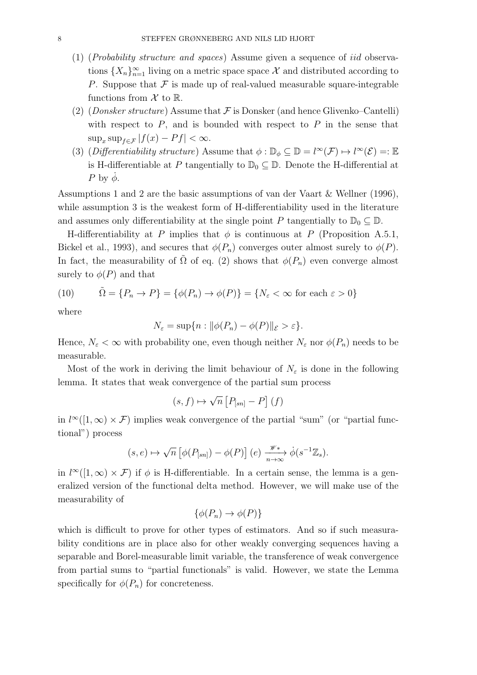- (1) (Probability structure and spaces) Assume given a sequence of iid observations  ${X_n}_{n=1}^{\infty}$  living on a metric space space X and distributed according to P. Suppose that  $\mathcal F$  is made up of real-valued measurable square-integrable functions from  $\mathcal X$  to  $\mathbb R$ .
- (2) (*Donsker structure*) Assume that  $\mathcal F$  is Donsker (and hence Glivenko–Cantelli) with respect to  $P$ , and is bounded with respect to  $P$  in the sense that  $\sup_x \sup_{f \in \mathcal{F}} |f(x) - Pf| < \infty.$
- (3) (Differentiability structure) Assume that  $\phi : \mathbb{D}_{\phi} \subseteq \mathbb{D} = l^{\infty}(\mathcal{F}) \mapsto l^{\infty}(\mathcal{E}) =: \mathbb{E}_{\phi}$ is H-differentiable at P tangentially to  $\mathbb{D}_0 \subseteq \mathbb{D}$ . Denote the H-differential at P by  $\dot{\phi}$ .

Assumptions 1 and 2 are the basic assumptions of van der Vaart & Wellner (1996), while assumption 3 is the weakest form of H-differentiability used in the literature and assumes only differentiability at the single point P tangentially to  $\mathbb{D}_0 \subseteq \mathbb{D}$ .

H-differentiability at P implies that  $\phi$  is continuous at P (Proposition A.5.1, Bickel et al., 1993), and secures that  $\phi(P_n)$  converges outer almost surely to  $\phi(P)$ . In fact, the measurability of  $\tilde{\Omega}$  of eq. (2) shows that  $\phi(P_n)$  even converge almost surely to  $\phi(P)$  and that

(10) 
$$
\tilde{\Omega} = \{P_n \to P\} = \{\phi(P_n) \to \phi(P)\} = \{N_{\varepsilon} < \infty \text{ for each } \varepsilon > 0\}
$$

where

$$
N_{\varepsilon} = \sup\{n : \|\phi(P_n) - \phi(P)\|_{\varepsilon} > \varepsilon\}.
$$

Hence,  $N_{\varepsilon} < \infty$  with probability one, even though neither  $N_{\varepsilon}$  nor  $\phi(P_n)$  needs to be measurable.

Most of the work in deriving the limit behaviour of  $N_{\varepsilon}$  is done in the following lemma. It states that weak convergence of the partial sum process

$$
(s,f)\mapsto \sqrt{n}\left[P_{[sn]}-P\right](f)
$$

in  $l^{\infty}([1,\infty) \times \mathcal{F})$  implies weak convergence of the partial "sum" (or "partial functional") process

$$
(s,e) \mapsto \sqrt{n} \left[ \phi(P_{[sn]}) - \phi(P) \right](e) \xrightarrow[n \to \infty]{\mathscr{W}^*} \phi(s^{-1}\mathbb{Z}_s).
$$

in  $l^{\infty}([1,\infty) \times \mathcal{F})$  if  $\phi$  is H-differentiable. In a certain sense, the lemma is a generalized version of the functional delta method. However, we will make use of the measurability of

$$
\{\phi(P_n) \to \phi(P)\}
$$

which is difficult to prove for other types of estimators. And so if such measurability conditions are in place also for other weakly converging sequences having a separable and Borel-measurable limit variable, the transference of weak convergence from partial sums to "partial functionals" is valid. However, we state the Lemma specifically for  $\phi(P_n)$  for concreteness.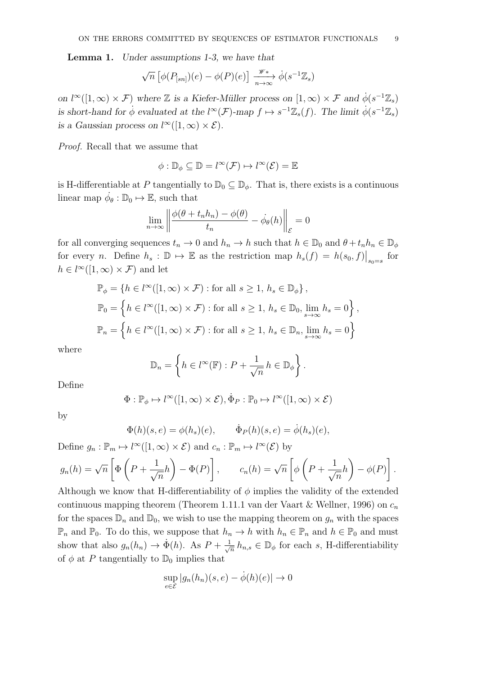Lemma 1. Under assumptions 1-3, we have that

$$
\sqrt{n}\left[\phi(P_{[sn]})(e) - \phi(P)(e)\right] \xrightarrow[n \to \infty]{\mathscr{W}*} \phi(s^{-1}\mathbb{Z}_s)
$$

on  $l^{\infty}([1,\infty) \times \mathcal{F})$  where  $\mathbb{Z}$  is a Kiefer-Müller process on  $[1,\infty) \times \mathcal{F}$  and  $\phi(s^{-1}\mathbb{Z}_s)$ is short-hand for  $\phi$  evaluated at the  $l^{\infty}(\mathcal{F})$ -map  $f \mapsto s^{-1}\mathbb{Z}_s(f)$ . The limit  $\phi(s^{-1}\mathbb{Z}_s)$ is a Gaussian process on  $l^{\infty}([1,\infty) \times \mathcal{E})$ .

Proof. Recall that we assume that

$$
\phi: \mathbb{D}_{\phi} \subseteq \mathbb{D} = l^{\infty}(\mathcal{F}) \mapsto l^{\infty}(\mathcal{E}) = \mathbb{E}
$$

is H-differentiable at P tangentially to  $\mathbb{D}_0 \subseteq \mathbb{D}_\phi$ . That is, there exists is a continuous linear map  $\dot{\phi}_{\theta} : \mathbb{D}_0 \mapsto \mathbb{E}$ , such that

$$
\lim_{n \to \infty} \left\| \frac{\phi(\theta + t_n h_n) - \phi(\theta)}{t_n} - \dot{\phi}_{\theta}(h) \right\|_{\mathcal{E}} = 0
$$

for all converging sequences  $t_n \to 0$  and  $h_n \to h$  such that  $h \in \mathbb{D}_0$  and  $\theta + t_n h_n \in \mathbb{D}_\phi$ for every *n*. Define  $h_s : \mathbb{D} \to \mathbb{E}$  as the restriction map  $h_s(f) = h(s_0, f)|_{s_0 = s}$  for  $h \in l^{\infty}([1,\infty) \times \mathcal{F})$  and let

$$
\mathbb{P}_{\phi} = \{ h \in l^{\infty}([1, \infty) \times \mathcal{F}) : \text{for all } s \ge 1, h_s \in \mathbb{D}_{\phi} \},\
$$

$$
\mathbb{P}_{0} = \left\{ h \in l^{\infty}([1, \infty) \times \mathcal{F}) : \text{for all } s \ge 1, h_s \in \mathbb{D}_{0}, \lim_{s \to \infty} h_s = 0 \right\},\
$$

$$
\mathbb{P}_{n} = \left\{ h \in l^{\infty}([1, \infty) \times \mathcal{F}) : \text{for all } s \ge 1, h_s \in \mathbb{D}_{n}, \lim_{s \to \infty} h_s = 0 \right\}
$$

where

$$
\mathbb{D}_n = \left\{ h \in l^{\infty}(\mathbb{F}) : P + \frac{1}{\sqrt{n}} h \in \mathbb{D}_{\phi} \right\}.
$$

Define

$$
\Phi: \mathbb{P}_{\phi} \mapsto l^{\infty}([1, \infty) \times \mathcal{E}), \dot{\Phi}_{P}: \mathbb{P}_{0} \mapsto l^{\infty}([1, \infty) \times \mathcal{E})
$$

by

$$
\Phi(h)(s,e) = \phi(h_s)(e), \qquad \dot{\Phi}_P(h)(s,e) = \dot{\phi}(h_s)(e),
$$

Define  $g_n : \mathbb{P}_m \mapsto l^{\infty}([1,\infty) \times \mathcal{E})$  and  $c_n : \mathbb{P}_m \mapsto l^{\infty}(\mathcal{E})$  by

$$
g_n(h) = \sqrt{n} \left[ \Phi \left( P + \frac{1}{\sqrt{n}} h \right) - \Phi(P) \right], \qquad c_n(h) = \sqrt{n} \left[ \phi \left( P + \frac{1}{\sqrt{n}} h \right) - \phi(P) \right].
$$

Although we know that H-differentiability of  $\phi$  implies the validity of the extended continuous mapping theorem (Theorem 1.11.1 van der Vaart & Wellner, 1996) on  $c_n$ for the spaces  $\mathbb{D}_n$  and  $\mathbb{D}_0$ , we wish to use the mapping theorem on  $g_n$  with the spaces  $\mathbb{P}_n$  and  $\mathbb{P}_0$ . To do this, we suppose that  $h_n \to h$  with  $h_n \in \mathbb{P}_n$  and  $h \in \mathbb{P}_0$  and must show that also  $g_n(h_n) \to \dot{\Phi}(h)$ . As  $P + \frac{1}{\sqrt{2}}$  $\overline{h}_{n,s} \in \mathbb{D}_{\phi}$  for each s, H-differentiability of  $\phi$  at P tangentially to  $\mathbb{D}_0$  implies that

$$
\sup_{e \in \mathcal{E}} |g_n(h_n)(s, e) - \dot{\phi}(h)(e)| \to 0
$$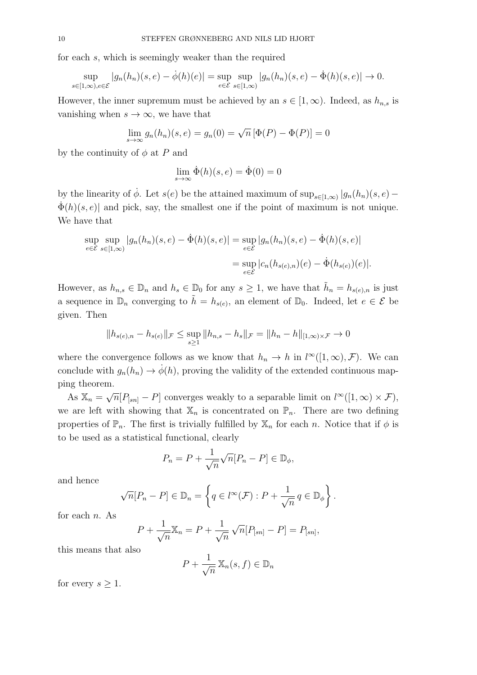for each s, which is seemingly weaker than the required

$$
\sup_{s\in[1,\infty),e\in\mathcal{E}}|g_n(h_n)(s,e)-\dot{\phi}(h)(e)|=\sup_{e\in\mathcal{E}}\sup_{s\in[1,\infty)}|g_n(h_n)(s,e)-\dot{\Phi}(h)(s,e)|\to 0.
$$

However, the inner supremum must be achieved by an  $s \in [1,\infty)$ . Indeed, as  $h_{n,s}$  is vanishing when  $s \to \infty$ , we have that

$$
\lim_{s \to \infty} g_n(h_n)(s, e) = g_n(0) = \sqrt{n} \left[ \Phi(P) - \Phi(P) \right] = 0
$$

by the continuity of  $\phi$  at P and

$$
\lim_{s \to \infty} \dot{\Phi}(h)(s, e) = \dot{\Phi}(0) = 0
$$

by the linearity of  $\dot{\phi}$ . Let  $s(e)$  be the attained maximum of  $\sup_{s\in[1,\infty)}|g_n(h_n)(s,e) \Phi(h)(s, e)$  and pick, say, the smallest one if the point of maximum is not unique. We have that

$$
\sup_{e \in \mathcal{E}} \sup_{s \in [1,\infty)} |g_n(h_n)(s,e) - \dot{\Phi}(h)(s,e)| = \sup_{e \in \mathcal{E}} |g_n(h_n)(s,e) - \dot{\Phi}(h)(s,e)|
$$

$$
= \sup_{e \in \mathcal{E}} |c_n(h_{s(e),n})(e) - \dot{\Phi}(h_{s(e)})(e)|.
$$

However, as  $h_{n,s} \in \mathbb{D}_n$  and  $h_s \in \mathbb{D}_0$  for any  $s \geq 1$ , we have that  $\tilde{h}_n = h_{s(e),n}$  is just a sequence in  $\mathbb{D}_n$  converging to  $\tilde{h} = h_{s(e)}$ , an element of  $\mathbb{D}_0$ . Indeed, let  $e \in \mathcal{E}$  be given. Then

$$
||h_{s(e),n} - h_{s(e)}||_{\mathcal{F}} \le \sup_{s \ge 1} ||h_{n,s} - h_s||_{\mathcal{F}} = ||h_n - h||_{[1,\infty)\times\mathcal{F}} \to 0
$$

where the convergence follows as we know that  $h_n \to h$  in  $l^{\infty}([1,\infty), \mathcal{F})$ . We can conclude with  $g_n(h_n) \to \phi(h)$ , proving the validity of the extended continuous mapping theorem.

As  $\mathbb{X}_n = \sqrt{n} [P_{[sn]} - P]$  converges weakly to a separable limit on  $l^{\infty}([1,\infty) \times \mathcal{F})$ , we are left with showing that  $\mathbb{X}_n$  is concentrated on  $\mathbb{P}_n$ . There are two defining properties of  $\mathbb{P}_n$ . The first is trivially fulfilled by  $\mathbb{X}_n$  for each n. Notice that if  $\phi$  is to be used as a statistical functional, clearly

$$
P_n = P + \frac{1}{\sqrt{n}} \sqrt{n} [P_n - P] \in \mathbb{D}_{\phi},
$$

and hence

$$
\sqrt{n}[P_n - P] \in \mathbb{D}_n = \left\{ q \in l^{\infty}(\mathcal{F}) : P + \frac{1}{\sqrt{n}} q \in \mathbb{D}_{\phi} \right\}.
$$

for each  $n$ . As

$$
P + \frac{1}{\sqrt{n}} \mathbb{X}_n = P + \frac{1}{\sqrt{n}} \sqrt{n} [P_{[sn]} - P] = P_{[sn]},
$$

this means that also

$$
P + \frac{1}{\sqrt{n}} \mathbb{X}_n(s, f) \in \mathbb{D}_n
$$

for every  $s \geq 1$ .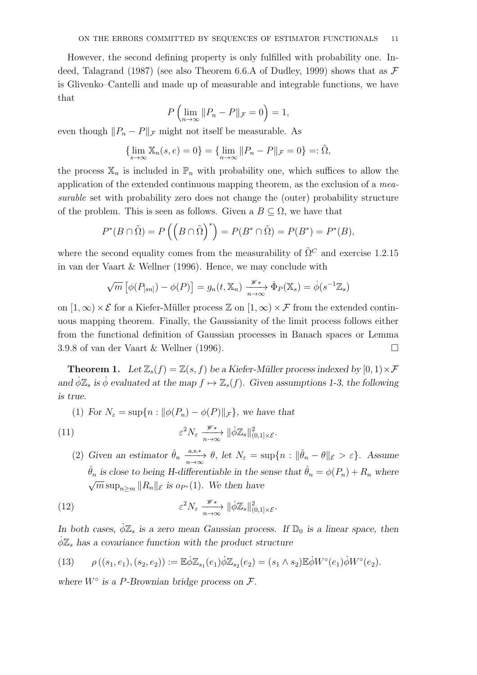However, the second defining property is only fulfilled with probability one. Indeed, Talagrand (1987) (see also Theorem 6.6.A of Dudley, 1999) shows that as  $\mathcal F$ is Glivenko–Cantelli and made up of measurable and integrable functions, we have that

$$
P\left(\lim_{n\to\infty}||P_n-P||_{\mathcal{F}}=0\right)=1,
$$

even though  $||P_n - P||_{\mathcal{F}}$  might not itself be measurable. As

$$
\{\lim_{s \to \infty} \mathbb{X}_n(s, e) = 0\} = \{\lim_{n \to \infty} ||P_n - P||_{\mathcal{F}} = 0\} =: \tilde{\Omega},
$$

the process  $\mathbb{X}_n$  is included in  $\mathbb{P}_n$  with probability one, which suffices to allow the application of the extended continuous mapping theorem, as the exclusion of a measurable set with probability zero does not change the (outer) probability structure of the problem. This is seen as follows. Given a  $B \subseteq \Omega$ , we have that

$$
P^*(B \cap \tilde{\Omega}) = P\left(\left(B \cap \tilde{\Omega}\right)^*\right) = P(B^* \cap \tilde{\Omega}) = P(B^*) = P^*(B),
$$

where the second equality comes from the measurability of  $\tilde{\Omega}^C$  and exercise 1.2.15 in van der Vaart & Wellner (1996). Hence, we may conclude with

$$
\sqrt{m}\left[\phi(P_{[sn]}) - \phi(P)\right] = g_n(t, \mathbb{X}_n) \xrightarrow[n \to \infty]{\mathscr{W}*} \Phi_P(\mathbb{X}_s) = \dot{\phi}(s^{-1}\mathbb{Z}_s)
$$

on  $[1,\infty)\times \mathcal{E}$  for a Kiefer-Müller process  $\mathbb{Z}$  on  $[1,\infty)\times \mathcal{F}$  from the extended continuous mapping theorem. Finally, the Gaussianity of the limit process follows either from the functional definition of Gaussian processes in Banach spaces or Lemma 3.9.8 of van der Vaart & Wellner (1996).

**Theorem 1.** Let  $\mathbb{Z}_s(f) = \mathbb{Z}(s, f)$  be a Kiefer-Müller process indexed by  $[0, 1) \times \mathcal{F}$ and  $\phi \mathbb{Z}_s$  is  $\dot{\phi}$  evaluated at the map  $f \mapsto \mathbb{Z}_s(f)$ . Given assumptions 1-3, the following is true.

(1) For 
$$
N_{\varepsilon} = \sup\{n : ||\phi(P_n) - \phi(P)||_{\mathcal{F}}\}
$$
, we have that

(11) 
$$
\varepsilon^2 N_{\varepsilon} \xrightarrow[n \to \infty]{\mathscr{W}^*} ||\dot{\phi} \mathbb{Z}_s||^2_{(0,1] \times \mathcal{E}}.
$$

(2) Given an estimator  $\hat{\theta}_n \xrightarrow[n \to \infty]{a.s.*} \theta$ , let  $N_{\varepsilon} = \sup\{n : \|\hat{\theta}_n - \theta\|_{\varepsilon} > \varepsilon\}$ . Assume  $\hat{\theta}_n$  is close to being H-differentiable in the sense that  $\hat{\theta}_n = \phi(P_n) + R_n$  where  $\sqrt{m} \sup_{n \ge m} ||R_n||_{\mathcal{E}}$  is  $o_{P^*}(1)$ . We then have

(12) 
$$
\varepsilon^2 N_{\varepsilon} \xrightarrow[n \to \infty]{\mathscr{W}^*} ||\dot{\phi} \mathbb{Z}_s||^2_{(0,1] \times \mathcal{E}}.
$$

In both cases,  $\phi \mathbb{Z}_s$  is a zero mean Gaussian process. If  $\mathbb{D}_0$  is a linear space, then  $\phi \mathbb{Z}_s$  has a covariance function with the product structure

(13) 
$$
\rho((s_1,e_1),(s_2,e_2)) := \mathbb{E}\dot{\phi}\mathbb{Z}_{s_1}(e_1)\dot{\phi}\mathbb{Z}_{s_2}(e_2) = (s_1 \wedge s_2)\mathbb{E}\dot{\phi}W^{\circ}(e_1)\dot{\phi}W^{\circ}(e_2).
$$

where  $W^{\circ}$  is a P-Brownian bridge process on  $\mathcal{F}.$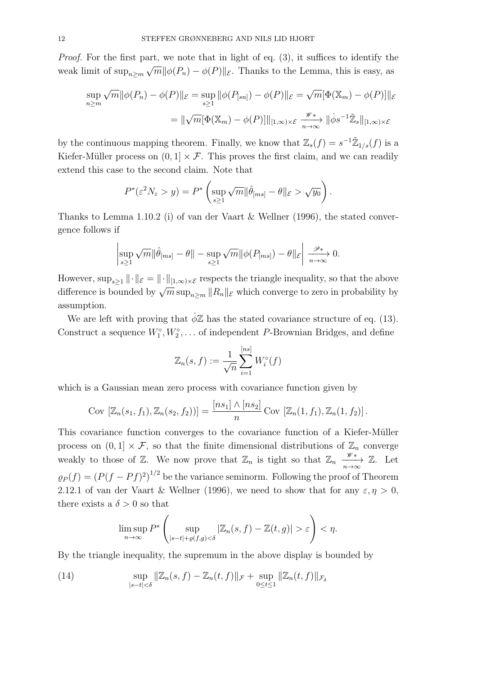Proof. For the first part, we note that in light of eq. (3), it suffices to identify the weak limit of  $\sup_{n\geq m}\sqrt{m}||\phi(P_n)-\phi(P)||_{\mathcal{E}}$ . Thanks to the Lemma, this is easy, as

$$
\sup_{n\geq m} \sqrt{m} \|\phi(P_n) - \phi(P)\|_{\mathcal{E}} = \sup_{s\geq 1} \|\phi(P_{[sn]}) - \phi(P)\|_{\mathcal{E}} = \sqrt{m} [\Phi(\mathbb{X}_m) - \phi(P)]\|_{\mathcal{E}}
$$

$$
= \|\sqrt{m} [\Phi(\mathbb{X}_m) - \phi(P)]\|_{[1,\infty)\times\mathcal{E}} \xrightarrow[n\to\infty]{\mathscr{W}*} \|\dot{\phi}s^{-1}\tilde{\mathbb{Z}}_s\|_{[1,\infty)\times\mathcal{E}}
$$

by the continuous mapping theorem. Finally, we know that  $\mathbb{Z}_s(f) = s^{-1} \tilde{\mathbb{Z}}_{1/s}(f)$  is a Kiefer-Müller process on  $(0, 1] \times \mathcal{F}$ . This proves the first claim, and we can readily extend this case to the second claim. Note that

$$
P^*(\varepsilon^2 N_\varepsilon > y) = P^* \left( \sup_{s \ge 1} \sqrt{m} \|\hat{\theta}_{[ms]} - \theta\|_{\varepsilon} > \sqrt{y_0} \right).
$$

Thanks to Lemma 1.10.2 (i) of van der Vaart & Wellner (1996), the stated convergence follows if

$$
\left|\sup_{s\geq 1}\sqrt{m}\|\hat{\theta}_{[ms]}-\theta\|-\sup_{s\geq 1}\sqrt{m}\|\phi(P_{[ms]})-\theta\|_{\mathcal{E}}\right|\xrightarrow[n\to\infty]{}0.
$$

However,  $\sup_{s>1} \|\cdot\|_{\mathcal{E}} = \|\cdot\|_{[1,\infty)\times\mathcal{E}}$  respects the triangle inequality, so that the above difference is bounded by  $\sqrt{m} \sup_{n \geq m} ||R_n||_{\mathcal{E}}$  which converge to zero in probability by assumption.

We are left with proving that  $\phi \mathbb{Z}$  has the stated covariance structure of eq. (13). Construct a sequence  $W_1^{\circ}, W_2^{\circ}, \ldots$  of independent P-Brownian Bridges, and define

$$
\mathbb{Z}_n(s,f) := \frac{1}{\sqrt{n}} \sum_{i=1}^{[ns]} W_i^{\circ}(f)
$$

which is a Gaussian mean zero process with covariance function given by

Cov 
$$
[\mathbb{Z}_n(s_1, f_1), \mathbb{Z}_n(s_2, f_2)] = \frac{[ns_1] \wedge [ns_2]}{n}
$$
 Cov  $[\mathbb{Z}_n(1, f_1), \mathbb{Z}_n(1, f_2)]$ .

This covariance function converges to the covariance function of a Kiefer-Müller process on  $(0, 1] \times \mathcal{F}$ , so that the finite dimensional distributions of  $\mathbb{Z}_n$  converge weakly to those of  $\mathbb{Z}$ . We now prove that  $\mathbb{Z}_n$  is tight so that  $\mathbb{Z}_n \xrightarrow[n \to \infty]{\mathscr{W}} \mathbb{Z}$ . Let  $\varrho_P(f) = (P(f - Pf)^2)^{1/2}$  be the variance seminorm. Following the proof of Theorem 2.12.1 of van der Vaart & Wellner (1996), we need to show that for any  $\varepsilon, \eta > 0$ , there exists a  $\delta > 0$  so that

$$
\limsup_{n\to\infty} P^*\left(\sup_{|s-t|+\varrho(f,g)<\delta} |\mathbb{Z}_n(s,f)-\mathbb{Z}(t,g)|>\varepsilon\right)<\eta.
$$

By the triangle inequality, the supremum in the above display is bounded by

(14) 
$$
\sup_{|s-t| < \delta} \|Z_n(s, f) - Z_n(t, f)\|_{\mathcal{F}} + \sup_{0 \le t \le 1} \|Z_n(t, f)\|_{\mathcal{F}_{\delta}}
$$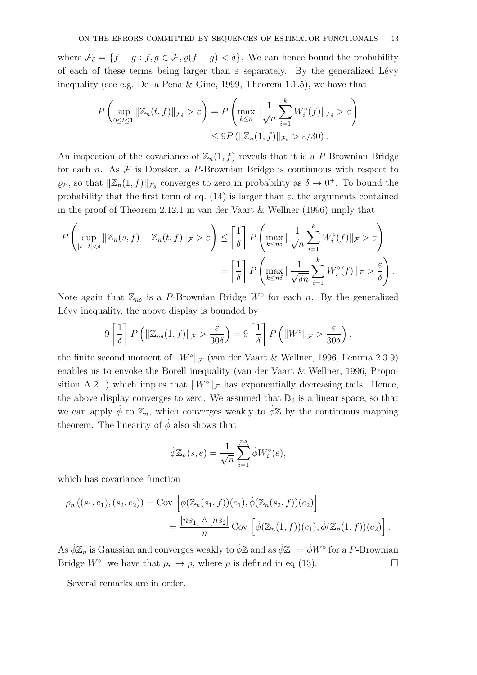where  $\mathcal{F}_{\delta} = \{f - g : f, g \in \mathcal{F}, \varrho(f - g) < \delta\}.$  We can hence bound the probability of each of these terms being larger than  $\varepsilon$  separately. By the generalized Lévy inequality (see e.g. De la Pena & Gine, 1999, Theorem 1.1.5), we have that

$$
P\left(\sup_{0\leq t\leq 1} \|\mathbb{Z}_n(t,f)\|_{\mathcal{F}_\delta} > \varepsilon\right) = P\left(\max_{k\leq n} \|\frac{1}{\sqrt{n}}\sum_{i=1}^k W_i^\circ(f)\|_{\mathcal{F}_\delta} > \varepsilon\right)
$$
  

$$
\leq 9P\left(\|\mathbb{Z}_n(1,f)\|_{\mathcal{F}_\delta} > \varepsilon/30\right).
$$

An inspection of the covariance of  $\mathbb{Z}_n(1, f)$  reveals that it is a P-Brownian Bridge for each n. As  $\mathcal F$  is Donsker, a P-Brownian Bridge is continuous with respect to  $\varrho_P$ , so that  $\|\mathbb{Z}_n(1, f)\|_{\mathcal{F}_\delta}$  converges to zero in probability as  $\delta \to 0^+$ . To bound the probability that the first term of eq. (14) is larger than  $\varepsilon$ , the arguments contained in the proof of Theorem 2.12.1 in van der Vaart & Wellner (1996) imply that

$$
P\left(\sup_{|s-t|<\delta} \|\mathbb{Z}_n(s,f) - \mathbb{Z}_n(t,f)\|_{\mathcal{F}} > \varepsilon\right) \le \left[\frac{1}{\delta}\right] P\left(\max_{k\le n\delta} \|\frac{1}{\sqrt{n}}\sum_{i=1}^k W_i^{\circ}(f)\|_{\mathcal{F}} > \varepsilon\right)
$$

$$
= \left[\frac{1}{\delta}\right] P\left(\max_{k\le n\delta} \|\frac{1}{\sqrt{\delta n}}\sum_{i=1}^k W_i^{\circ}(f)\|_{\mathcal{F}} > \frac{\varepsilon}{\delta}\right).
$$

Note again that  $\mathbb{Z}_{n\delta}$  is a P-Brownian Bridge  $W^{\circ}$  for each n. By the generalized Lévy inequality, the above display is bounded by

$$
9\left[\frac{1}{\delta}\right]P\left(\|\mathbb{Z}_{n\delta}(1,f)\|_{\mathcal{F}} > \frac{\varepsilon}{30\delta}\right) = 9\left[\frac{1}{\delta}\right]P\left(\|W^{\circ}\|_{\mathcal{F}} > \frac{\varepsilon}{30\delta}\right)
$$

.

the finite second moment of  $||W°||_{\mathcal{F}}$  (van der Vaart & Wellner, 1996, Lemma 2.3.9) enables us to envoke the Borell inequality (van der Vaart & Wellner, 1996, Proposition A.2.1) which imples that  $||W°||_{\mathcal{F}}$  has exponentially decreasing tails. Hence, the above display converges to zero. We assumed that  $\mathbb{D}_0$  is a linear space, so that we can apply  $\phi$  to  $\mathbb{Z}_n$ , which converges weakly to  $\phi\mathbb{Z}$  by the continuous mapping theorem. The linearity of  $\phi$  also shows that

$$
\dot{\phi}\mathbb{Z}_n(s,e) = \frac{1}{\sqrt{n}} \sum_{i=1}^{[ns]} \dot{\phi} W_i^{\circ}(e),
$$

which has covariance function

$$
\rho_n((s_1, e_1), (s_2, e_2)) = \text{Cov}\left[\dot{\phi}(\mathbb{Z}_n(s_1, f))(e_1), \dot{\phi}(\mathbb{Z}_n(s_2, f))(e_2)\right]
$$
  
= 
$$
\frac{[ns_1] \wedge [ns_2]}{n} \text{Cov}\left[\dot{\phi}(\mathbb{Z}_n(1, f))(e_1), \dot{\phi}(\mathbb{Z}_n(1, f))(e_2)\right].
$$

As  $\dot{\phi}\mathbb{Z}_n$  is Gaussian and converges weakly to  $\dot{\phi}\mathbb{Z}$  and as  $\dot{\phi}\mathbb{Z}_1 = \dot{\phi}W$ <sup>°</sup> for a P-Brownian Bridge  $W^{\circ}$ , we have that  $\rho_n \to \rho$ , where  $\rho$  is defined in eq (13).

Several remarks are in order.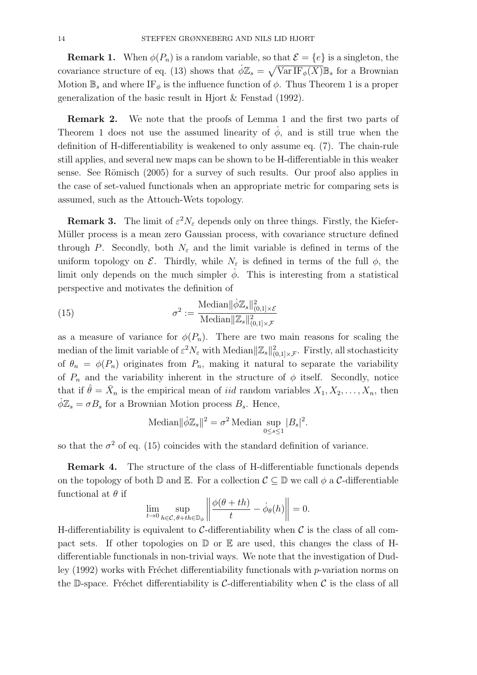**Remark 1.** When  $\phi(P_n)$  is a random variable, so that  $\mathcal{E} = \{e\}$  is a singleton, the covariance structure of eq. (13) shows that  $\dot{\phi}Z_s = \sqrt{\text{Var IF}_{\phi}(X)}\mathbb{B}_s$  for a Brownian Motion  $\mathbb{B}_s$  and where IF<sub>φ</sub> is the influence function of  $\phi$ . Thus Theorem 1 is a proper generalization of the basic result in Hjort & Fenstad (1992).

Remark 2. We note that the proofs of Lemma 1 and the first two parts of Theorem 1 does not use the assumed linearity of  $\dot{\phi}$ , and is still true when the definition of H-differentiability is weakened to only assume eq. (7). The chain-rule still applies, and several new maps can be shown to be H-differentiable in this weaker sense. See Römisch  $(2005)$  for a survey of such results. Our proof also applies in the case of set-valued functionals when an appropriate metric for comparing sets is assumed, such as the Attouch-Wets topology.

**Remark 3.** The limit of  $\varepsilon^2 N_{\varepsilon}$  depends only on three things. Firstly, the Kiefer-Müller process is a mean zero Gaussian process, with covariance structure defined through P. Secondly, both  $N_{\varepsilon}$  and the limit variable is defined in terms of the uniform topology on  $\mathcal{E}$ . Thirdly, while  $N_{\varepsilon}$  is defined in terms of the full  $\phi$ , the limit only depends on the much simpler  $\dot{\phi}$ . This is interesting from a statistical perspective and motivates the definition of

(15) 
$$
\sigma^2 := \frac{\text{Median} \|\dot{\phi}\mathbb{Z}_s\|_{(0,1]\times\mathcal{E}}^2}{\text{Median}\|\mathbb{Z}_s\|_{(0,1]\times\mathcal{F}}^2}
$$

as a measure of variance for  $\phi(P_n)$ . There are two main reasons for scaling the median of the limit variable of  $\varepsilon^2 N_{\varepsilon}$  with Median $\|\mathbb{Z}_s\|^2_{(0,1]\times\mathcal{F}}$ . Firstly, all stochasticity of  $\theta_n = \phi(P_n)$  originates from  $P_n$ , making it natural to separate the variability of  $P_n$  and the variability inherent in the structure of  $\phi$  itself. Secondly, notice that if  $\hat{\theta} = \bar{X}_n$  is the empirical mean of *iid* random variables  $X_1, X_2, \ldots, X_n$ , then  $\phi \mathbb{Z}_s = \sigma B_s$  for a Brownian Motion process  $B_s$ . Hence,

Median
$$
\|\dot{\phi}\mathbb{Z}_s\|^2 = \sigma^2
$$
Median sup  $\underset{0 \le s \le 1}{\text{sup}} |B_s|^2$ .

so that the  $\sigma^2$  of eq. (15) coincides with the standard definition of variance.

Remark 4. The structure of the class of H-differentiable functionals depends on the topology of both  $\mathbb D$  and  $\mathbb E$ . For a collection  $\mathcal C \subset \mathbb D$  we call  $\phi$  a C-differentiable functional at  $\theta$  if

$$
\lim_{t \to 0} \sup_{h \in \mathcal{C}, \theta + th \in \mathbb{D}_{\phi}} \left\| \frac{\phi(\theta + th)}{t} - \dot{\phi}_{\theta}(h) \right\| = 0.
$$

H-differentiability is equivalent to  $\mathcal{C}$ -differentiability when  $\mathcal{C}$  is the class of all compact sets. If other topologies on  $\mathbb D$  or  $\mathbb E$  are used, this changes the class of Hdifferentiable functionals in non-trivial ways. We note that the investigation of Dudley  $(1992)$  works with Fréchet differentiability functionals with p-variation norms on the D-space. Fréchet differentiability is C-differentiability when  $\mathcal C$  is the class of all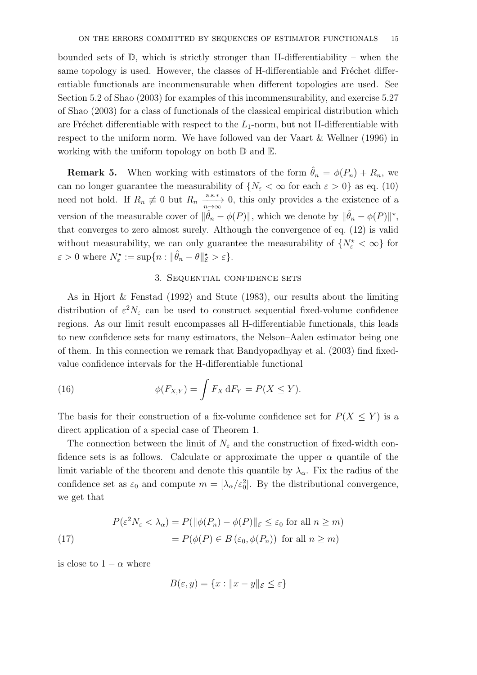bounded sets of  $\mathbb{D}$ , which is strictly stronger than H-differentiability – when the same topology is used. However, the classes of H-differentiable and Fréchet differentiable functionals are incommensurable when different topologies are used. See Section 5.2 of Shao (2003) for examples of this incommensurability, and exercise 5.27 of Shao (2003) for a class of functionals of the classical empirical distribution which are Fréchet differentiable with respect to the  $L_1$ -norm, but not H-differentiable with respect to the uniform norm. We have followed van der Vaart & Wellner (1996) in working with the uniform topology on both  $D$  and  $E$ .

**Remark 5.** When working with estimators of the form  $\hat{\theta}_n = \phi(P_n) + R_n$ , we can no longer guarantee the measurability of  $\{N_{\varepsilon} < \infty \text{ for each } \varepsilon > 0\}$  as eq. (10) need not hold. If  $R_n \neq 0$  but  $R_n \xrightarrow[n \to \infty]{a.s.*} 0$ , this only provides a the existence of a version of the measurable cover of  $\|\hat{\theta}_n - \phi(P)\|$ , which we denote by  $\|\hat{\theta}_n - \phi(P)\|^*$ , that converges to zero almost surely. Although the convergence of eq. (12) is valid without measurability, we can only guarantee the measurability of  $\{N_{\varepsilon}^{\star} < \infty\}$  for  $\varepsilon > 0$  where  $N_{\varepsilon}^{\star} := \sup\{n : ||\hat{\theta}_n - \theta||_{\mathcal{E}}^{\star} > \varepsilon\}.$ 

### 3. Sequential confidence sets

As in Hjort & Fenstad (1992) and Stute (1983), our results about the limiting distribution of  $\varepsilon^2 N_{\varepsilon}$  can be used to construct sequential fixed-volume confidence regions. As our limit result encompasses all H-differentiable functionals, this leads to new confidence sets for many estimators, the Nelson–Aalen estimator being one of them. In this connection we remark that Bandyopadhyay et al. (2003) find fixedvalue confidence intervals for the H-differentiable functional

(16) 
$$
\phi(F_{X,Y}) = \int F_X dF_Y = P(X \le Y).
$$

The basis for their construction of a fix-volume confidence set for  $P(X \leq Y)$  is a direct application of a special case of Theorem 1.

The connection between the limit of  $N_{\varepsilon}$  and the construction of fixed-width confidence sets is as follows. Calculate or approximate the upper  $\alpha$  quantile of the limit variable of the theorem and denote this quantile by  $\lambda_{\alpha}$ . Fix the radius of the confidence set as  $\varepsilon_0$  and compute  $m = [\lambda_\alpha/\varepsilon_0^2]$ . By the distributional convergence, we get that

(17) 
$$
P(\varepsilon^2 N_{\varepsilon} < \lambda_{\alpha}) = P(||\phi(P_n) - \phi(P)||_{\varepsilon} \le \varepsilon_0 \text{ for all } n \ge m)
$$

$$
= P(\phi(P) \in B(\varepsilon_0, \phi(P_n)) \text{ for all } n \ge m)
$$

is close to  $1 - \alpha$  where

$$
B(\varepsilon, y) = \{x : ||x - y||_{\varepsilon} \le \varepsilon\}
$$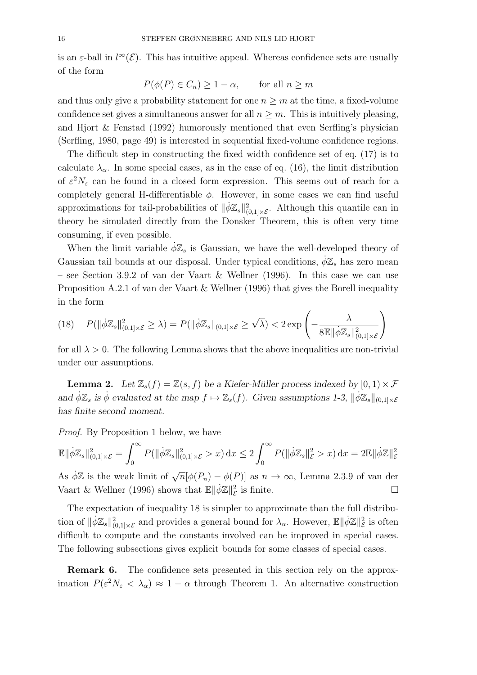is an  $\varepsilon$ -ball in  $l^{\infty}(\mathcal{E})$ . This has intuitive appeal. Whereas confidence sets are usually of the form

$$
P(\phi(P) \in C_n) \ge 1 - \alpha, \quad \text{for all } n \ge m
$$

and thus only give a probability statement for one  $n \geq m$  at the time, a fixed-volume confidence set gives a simultaneous answer for all  $n \geq m$ . This is intuitively pleasing, and Hjort & Fenstad (1992) humorously mentioned that even Serfling's physician (Serfling, 1980, page 49) is interested in sequential fixed-volume confidence regions.

The difficult step in constructing the fixed width confidence set of eq. (17) is to calculate  $\lambda_{\alpha}$ . In some special cases, as in the case of eq. (16), the limit distribution of  $\varepsilon^2 N_{\varepsilon}$  can be found in a closed form expression. This seems out of reach for a completely general H-differentiable  $\phi$ . However, in some cases we can find useful approximations for tail-probabilities of  $\|\dot{\phi}\mathbb{Z}_{s}\|_{(0,1]\times\mathcal{E}}^2$ . Although this quantile can in theory be simulated directly from the Donsker Theorem, this is often very time consuming, if even possible.

When the limit variable  $\phi \mathbb{Z}_s$  is Gaussian, we have the well-developed theory of Gaussian tail bounds at our disposal. Under typical conditions,  $\phi \mathbb{Z}_s$  has zero mean – see Section 3.9.2 of van der Vaart & Wellner (1996). In this case we can use Proposition A.2.1 of van der Vaart & Wellner (1996) that gives the Borell inequality in the form

$$
(18) \quad P(\|\dot{\phi}\mathbb{Z}_{s}\|_{(0,1]\times\mathcal{E}}^{2}\geq\lambda)=P(\|\dot{\phi}\mathbb{Z}_{s}\|_{(0,1]\times\mathcal{E}}\geq\sqrt{\lambda})<2\exp\left(-\frac{\lambda}{8\mathbb{E}\|\dot{\phi}\mathbb{Z}_{s}\|_{(0,1]\times\mathcal{E}}^{2}}\right)
$$

for all  $\lambda > 0$ . The following Lemma shows that the above inequalities are non-trivial under our assumptions.

**Lemma 2.** Let  $\mathbb{Z}_s(f) = \mathbb{Z}(s, f)$  be a Kiefer-Müller process indexed by  $[0, 1) \times \mathcal{F}$ and  $\phi \mathbb{Z}_s$  is  $\dot{\phi}$  evaluated at the map  $f \mapsto \mathbb{Z}_s(f)$ . Given assumptions 1-3,  $\|\dot{\phi}\mathbb{Z}_s\|_{(0,1]\times\mathcal{E}}$ has finite second moment.

Proof. By Proposition 1 below, we have

$$
\mathbb{E} \|\dot{\phi}\mathbb{Z}_s\|_{(0,1]\times\mathcal{E}}^2 = \int_0^\infty P(\|\dot{\phi}\mathbb{Z}_s\|_{(0,1]\times\mathcal{E}}^2 > x) \,dx \le 2 \int_0^\infty P(\|\dot{\phi}\mathbb{Z}_s\|_{\mathcal{E}}^2 > x) \,dx = 2\mathbb{E} \|\dot{\phi}\mathbb{Z}\|_{\mathcal{E}}^2
$$

As  $\dot{\phi}\mathbb{Z}$  is the weak limit of  $\sqrt{n}[\phi(P_n) - \phi(P)]$  as  $n \to \infty$ , Lemma 2.3.9 of van der Vaart & Wellner (1996) shows that  $\mathbb{E} \Vert \dot{\phi} \mathbb{Z} \Vert_{\mathcal{E}}^2$  $\mathcal{E}$  is finite.

The expectation of inequality 18 is simpler to approximate than the full distribution of  $\|\dot{\phi}\mathbb{Z}_s\|^2_{(0,1]\times\mathcal{E}}$  and provides a general bound for  $\lambda_{\alpha}$ . However,  $\mathbb{E}\|\dot{\phi}\mathbb{Z}\|^2_{\mathcal{E}}$  $\frac{2}{\mathcal{E}}$  is often difficult to compute and the constants involved can be improved in special cases. The following subsections gives explicit bounds for some classes of special cases.

Remark 6. The confidence sets presented in this section rely on the approximation  $P(\varepsilon^2 N_{\varepsilon} < \lambda_{\alpha}) \approx 1 - \alpha$  through Theorem 1. An alternative construction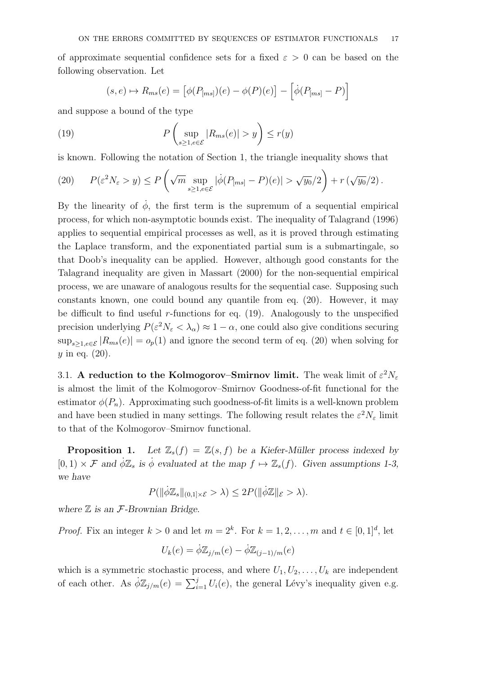of approximate sequential confidence sets for a fixed  $\varepsilon > 0$  can be based on the following observation. Let

$$
(s,e) \mapsto R_{ms}(e) = \left[\phi(P_{[ms]})(e) - \phi(P)(e)\right] - \left[\dot{\phi}(P_{[ms]} - P)\right]
$$

and suppose a bound of the type

(19) 
$$
P\left(\sup_{s\geq 1, e\in\mathcal{E}}|R_{ms}(e)| > y\right) \leq r(y)
$$

is known. Following the notation of Section 1, the triangle inequality shows that

(20) 
$$
P(\varepsilon^2 N_\varepsilon > y) \le P\left(\sqrt{m} \sup_{s \ge 1, e \in \mathcal{E}} |\dot{\phi}(P_{[ms]} - P)(e)| > \sqrt{y_0}/2\right) + r\left(\sqrt{y_0}/2\right).
$$

By the linearity of  $\dot{\phi}$ , the first term is the supremum of a sequential empirical process, for which non-asymptotic bounds exist. The inequality of Talagrand (1996) applies to sequential empirical processes as well, as it is proved through estimating the Laplace transform, and the exponentiated partial sum is a submartingale, so that Doob's inequality can be applied. However, although good constants for the Talagrand inequality are given in Massart (2000) for the non-sequential empirical process, we are unaware of analogous results for the sequential case. Supposing such constants known, one could bound any quantile from eq. (20). However, it may be difficult to find useful r-functions for eq.  $(19)$ . Analogously to the unspecified precision underlying  $P(\varepsilon^2 N_{\varepsilon} < \lambda_{\alpha}) \approx 1 - \alpha$ , one could also give conditions securing  $\sup_{s>1,e\in\mathcal{E}}|R_{ms}(e)|=o_p(1)$  and ignore the second term of eq. (20) when solving for  $y$  in eq.  $(20)$ .

3.1. A reduction to the Kolmogorov–Smirnov limit. The weak limit of  $\varepsilon^2 N_{\varepsilon}$ is almost the limit of the Kolmogorov–Smirnov Goodness-of-fit functional for the estimator  $\phi(P_n)$ . Approximating such goodness-of-fit limits is a well-known problem and have been studied in many settings. The following result relates the  $\varepsilon^2 N_{\varepsilon}$  limit to that of the Kolmogorov–Smirnov functional.

**Proposition 1.** Let  $\mathbb{Z}_s(f) = \mathbb{Z}(s, f)$  be a Kiefer-Müller process indexed by  $[0, 1) \times \mathcal{F}$  and  $\phi \mathbb{Z}_s$  is  $\dot{\phi}$  evaluated at the map  $f \mapsto \mathbb{Z}_s(f)$ . Given assumptions 1-3, we have

$$
P(\|\dot{\phi}\mathbb{Z}_{s}\|_{(0,1]\times\mathcal{E}}>\lambda)\leq 2P(\|\dot{\phi}\mathbb{Z}\|_{\mathcal{E}}>\lambda).
$$

where  $\mathbb Z$  is an  $\mathcal F$ -Brownian Bridge.

*Proof.* Fix an integer  $k > 0$  and let  $m = 2^k$ . For  $k = 1, 2, ..., m$  and  $t \in [0, 1]^d$ , let

$$
U_k(e) = \dot{\phi} \mathbb{Z}_{j/m}(e) - \dot{\phi} \mathbb{Z}_{(j-1)/m}(e)
$$

which is a symmetric stochastic process, and where  $U_1, U_2, \ldots, U_k$  are independent of each other. As  $\phi \mathbb{Z}_{j/m}(e) = \sum_{i=1}^{j} U_i(e)$ , the general Lévy's inequality given e.g.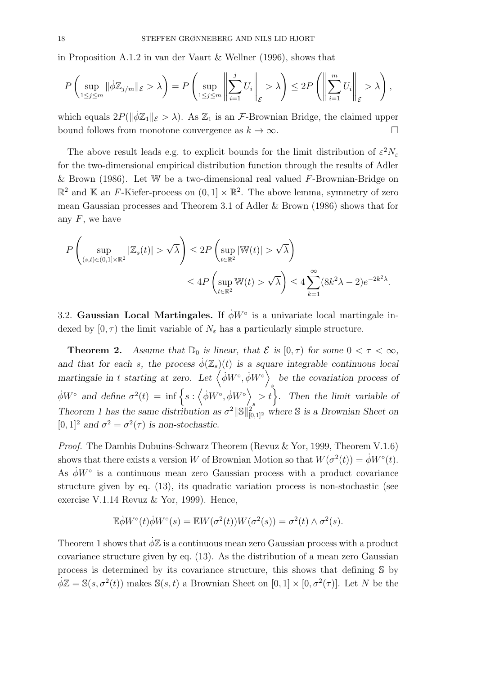in Proposition A.1.2 in van der Vaart & Wellner (1996), shows that

$$
P\left(\sup_{1\leq j\leq m} \|\dot{\phi}\mathbb{Z}_{j/m}\|_{\mathcal{E}} > \lambda\right) = P\left(\sup_{1\leq j\leq m} \left\|\sum_{i=1}^j U_i\right\|_{\mathcal{E}} > \lambda\right) \leq 2P\left(\left\|\sum_{i=1}^m U_i\right\|_{\mathcal{E}} > \lambda\right),
$$

which equals  $2P(\|\dot{\phi}\mathbb{Z}_1\|_{\mathcal{E}} > \lambda)$ . As  $\mathbb{Z}_1$  is an *F*-Brownian Bridge, the claimed upper bound follows from monotone convergence as  $k \to \infty$ .

The above result leads e.g. to explicit bounds for the limit distribution of  $\varepsilon^2 N_{\varepsilon}$ for the two-dimensional empirical distribution function through the results of Adler & Brown (1986). Let W be a two-dimensional real valued  $F$ -Brownian-Bridge on  $\mathbb{R}^2$  and  $\mathbb K$  an F-Kiefer-process on  $(0,1] \times \mathbb{R}^2$ . The above lemma, symmetry of zero mean Gaussian processes and Theorem 3.1 of Adler & Brown (1986) shows that for any  $F$ , we have

$$
P\left(\sup_{(s,t)\in(0,1]\times\mathbb{R}^2}|\mathbb{Z}_s(t)|>\sqrt{\lambda}\right)\leq 2P\left(\sup_{t\in\mathbb{R}^2}|\mathbb{W}(t)|>\sqrt{\lambda}\right)
$$

$$
\leq 4P\left(\sup_{t\in\mathbb{R}^2}\mathbb{W}(t)>\sqrt{\lambda}\right)\leq 4\sum_{k=1}^{\infty}(8k^2\lambda-2)e^{-2k^2\lambda}.
$$

3.2. Gaussian Local Martingales. If  $\dot{\phi}W^{\circ}$  is a univariate local martingale indexed by  $[0, \tau)$  the limit variable of  $N_{\varepsilon}$  has a particularly simple structure.

**Theorem 2.** Assume that  $\mathbb{D}_0$  is linear, that  $\mathcal{E}$  is  $[0, \tau)$  for some  $0 < \tau < \infty$ , and that for each s, the process  $\dot{\phi}(\mathbb{Z}_s)(t)$  is a square integrable continuous local martingale in t starting at zero. Let  $\langle \dot{\phi} W^{\circ}, \dot{\phi} W^{\circ} \rangle$ be the covariation process of  $\dot{\phi}W^{\circ}$  and define  $\sigma^2(t) = \inf \left\{ s : \left\langle \dot{\phi}W^{\circ}, \dot{\phi}W^{\circ} \right\rangle \right\}$  $s > t$ . Then the limit variable of Theorem 1 has the same distribution as  $\sigma^2 ||\mathbb{S}||_{[0,1]^2}^2$  where  $\mathbb{S}$  is a Brownian Sheet on  $[0, 1]^2$  and  $\sigma^2 = \sigma^2(\tau)$  is non-stochastic.

Proof. The Dambis Dubuins-Schwarz Theorem (Revuz & Yor, 1999, Theorem V.1.6) shows that there exists a version W of Brownian Motion so that  $W(\sigma^2(t)) = \dot{\phi}W^{\circ}(t)$ . As  $\dot{\phi}W^{\circ}$  is a continuous mean zero Gaussian process with a product covariance structure given by eq. (13), its quadratic variation process is non-stochastic (see exercise V.1.14 Revuz & Yor, 1999). Hence,

$$
\mathbb{E}\dot{\phi}W^{\circ}(t)\dot{\phi}W^{\circ}(s) = \mathbb{E}W(\sigma^{2}(t))W(\sigma^{2}(s)) = \sigma^{2}(t) \wedge \sigma^{2}(s).
$$

Theorem 1 shows that  $\phi \mathbb{Z}$  is a continuous mean zero Gaussian process with a product covariance structure given by eq. (13). As the distribution of a mean zero Gaussian process is determined by its covariance structure, this shows that defining S by  $\dot{\phi}\mathbb{Z} = \mathbb{S}(s, \sigma^2(t))$  makes  $\mathbb{S}(s, t)$  a Brownian Sheet on  $[0, 1] \times [0, \sigma^2(\tau)]$ . Let N be the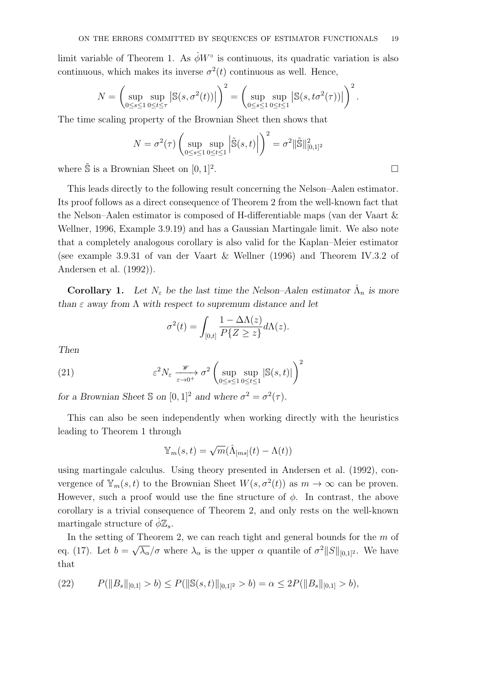limit variable of Theorem 1. As  $\dot{\phi}W^{\circ}$  is continuous, its quadratic variation is also continuous, which makes its inverse  $\sigma^2(t)$  continuous as well. Hence,

$$
N = \left(\sup_{0 \le s \le 1} \sup_{0 \le t \le \tau} \left| \mathbb{S}(s, \sigma^2(t)) \right| \right)^2 = \left(\sup_{0 \le s \le 1} \sup_{0 \le t \le 1} \left| \mathbb{S}(s, t\sigma^2(\tau)) \right| \right)^2.
$$

The time scaling property of the Brownian Sheet then shows that

$$
N = \sigma^{2}(\tau) \left( \sup_{0 \le s \le 1} \sup_{0 \le t \le 1} \left| \tilde{\mathbb{S}}(s, t) \right| \right)^{2} = \sigma^{2} ||\tilde{\mathbb{S}}||_{[0,1]^{2}}^{2}
$$

where  $\tilde{\mathbb{S}}$  is a Brownian Sheet on  $[0, 1]^2$ . .

This leads directly to the following result concerning the Nelson–Aalen estimator. Its proof follows as a direct consequence of Theorem 2 from the well-known fact that the Nelson–Aalen estimator is composed of H-differentiable maps (van der Vaart & Wellner, 1996, Example 3.9.19) and has a Gaussian Martingale limit. We also note that a completely analogous corollary is also valid for the Kaplan–Meier estimator (see example 3.9.31 of van der Vaart & Wellner (1996) and Theorem IV.3.2 of Andersen et al. (1992)).

**Corollary 1.** Let  $N_{\varepsilon}$  be the last time the Nelson–Aalen estimator  $\hat{\Lambda}_n$  is more than  $\varepsilon$  away from  $\Lambda$  with respect to supremum distance and let

$$
\sigma^{2}(t) = \int_{[0,t]} \frac{1 - \Delta \Lambda(z)}{P\{Z \geq z\}} d\Lambda(z).
$$

Then

(21) 
$$
\varepsilon^2 N_{\varepsilon} \xrightarrow[\varepsilon \to 0^+]{\mathscr{W}} \sigma^2 \left( \sup_{0 \le s \le 1} \sup_{0 \le t \le 1} |\mathbb{S}(s, t)| \right)^2
$$

for a Brownian Sheet S on  $[0,1]^2$  and where  $\sigma^2 = \sigma^2(\tau)$ .

This can also be seen independently when working directly with the heuristics leading to Theorem 1 through

$$
\mathbb{Y}_m(s,t) = \sqrt{m}(\hat{\Lambda}_{[ms]}(t) - \Lambda(t))
$$

using martingale calculus. Using theory presented in Andersen et al. (1992), convergence of  $\mathbb{Y}_m(s,t)$  to the Brownian Sheet  $W(s, \sigma^2(t))$  as  $m \to \infty$  can be proven. However, such a proof would use the fine structure of  $\phi$ . In contrast, the above corollary is a trivial consequence of Theorem 2, and only rests on the well-known martingale structure of  $\dot{\phi} \mathbb{Z}_s$ .

In the setting of Theorem 2, we can reach tight and general bounds for the  $m$  of eq. (17). Let  $b = \sqrt{\lambda_{\alpha}}/\sigma$  where  $\lambda_{\alpha}$  is the upper  $\alpha$  quantile of  $\sigma^2 ||S||_{[0,1]^2}$ . We have that

(22) 
$$
P(||B_s||_{[0,1]} > b) \le P(||\mathbb{S}(s,t)||_{[0,1]^2} > b) = \alpha \le 2P(||B_s||_{[0,1]} > b),
$$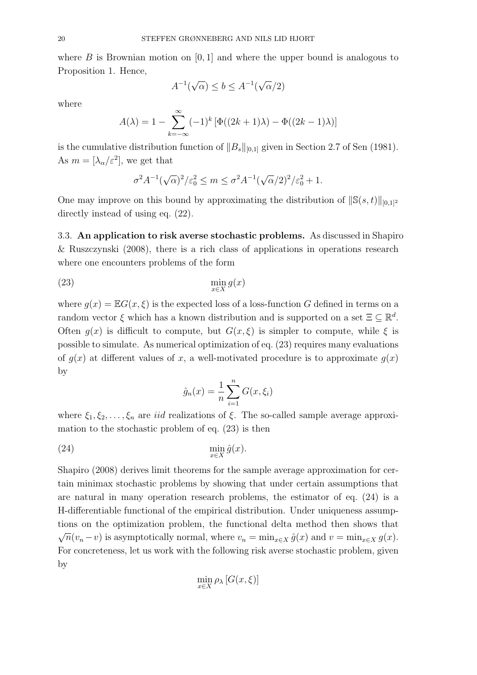where B is Brownian motion on  $[0, 1]$  and where the upper bound is analogous to Proposition 1. Hence,

$$
A^{-1}(\sqrt{\alpha}) \le b \le A^{-1}(\sqrt{\alpha}/2)
$$

where

$$
A(\lambda) = 1 - \sum_{k=-\infty}^{\infty} (-1)^k \left[ \Phi((2k+1)\lambda) - \Phi((2k-1)\lambda) \right]
$$

is the cumulative distribution function of  $||B_s||_{[0,1]}$  given in Section 2.7 of Sen (1981). As  $m = [\lambda_{\alpha}/\varepsilon^2]$ , we get that

$$
\sigma^2 A^{-1} (\sqrt{\alpha})^2 / \varepsilon_0^2 \le m \le \sigma^2 A^{-1} (\sqrt{\alpha}/2)^2 / \varepsilon_0^2 + 1.
$$

One may improve on this bound by approximating the distribution of  $\|\mathbb{S}(s, t)\|_{[0,1]^2}$ directly instead of using eq.  $(22)$ .

3.3. An application to risk averse stochastic problems. As discussed in Shapiro & Ruszczynski (2008), there is a rich class of applications in operations research where one encounters problems of the form

$$
\min_{x \in X} g(x)
$$

where  $q(x) = \mathbb{E}G(x, \xi)$  is the expected loss of a loss-function G defined in terms on a random vector  $\xi$  which has a known distribution and is supported on a set  $\Xi \subseteq \mathbb{R}^d$ . Often  $q(x)$  is difficult to compute, but  $G(x,\xi)$  is simpler to compute, while  $\xi$  is possible to simulate. As numerical optimization of eq. (23) requires many evaluations of  $g(x)$  at different values of x, a well-motivated procedure is to approximate  $g(x)$ by

$$
\hat{g}_n(x) = \frac{1}{n} \sum_{i=1}^n G(x, \xi_i)
$$

where  $\xi_1, \xi_2, \ldots, \xi_n$  are *iid* realizations of  $\xi$ . The so-called sample average approximation to the stochastic problem of eq. (23) is then

(24) 
$$
\min_{x \in X} \hat{g}(x).
$$

Shapiro (2008) derives limit theorems for the sample average approximation for certain minimax stochastic problems by showing that under certain assumptions that are natural in many operation research problems, the estimator of eq. (24) is a H-differentiable functional of the empirical distribution. Under uniqueness assumptions on the optimization problem, the functional delta method then shows that  $\sqrt{n}(v_n - v)$  is asymptotically normal, where  $v_n = \min_{x \in X} \hat{g}(x)$  and  $v = \min_{x \in X} g(x)$ . For concreteness, let us work with the following risk averse stochastic problem, given by

$$
\min_{x \in X} \rho_{\lambda} [G(x, \xi)]
$$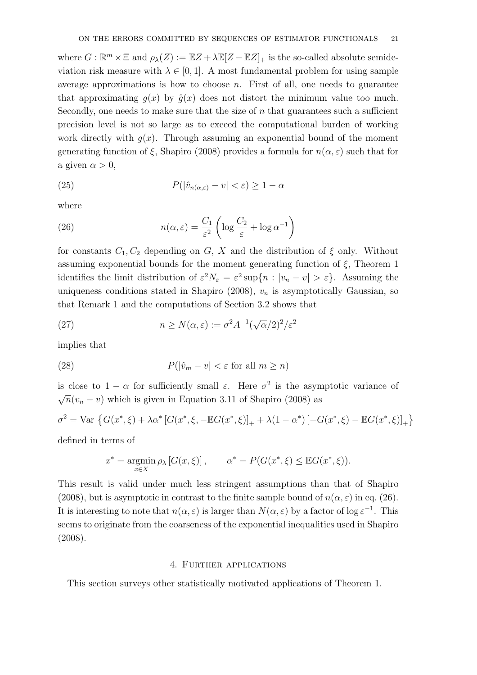where  $G : \mathbb{R}^m \times \Xi$  and  $\rho_{\lambda}(Z) := \mathbb{E}Z + \lambda \mathbb{E}[Z - \mathbb{E}Z]_{+}$  is the so-called absolute semideviation risk measure with  $\lambda \in [0, 1]$ . A most fundamental problem for using sample average approximations is how to choose  $n$ . First of all, one needs to guarantee that approximating  $g(x)$  by  $\hat{g}(x)$  does not distort the minimum value too much. Secondly, one needs to make sure that the size of  $n$  that guarantees such a sufficient precision level is not so large as to exceed the computational burden of working work directly with  $g(x)$ . Through assuming an exponential bound of the moment generating function of  $\xi$ , Shapiro (2008) provides a formula for  $n(\alpha, \varepsilon)$  such that for a given  $\alpha > 0$ ,

(25) 
$$
P(|\hat{v}_{n(\alpha,\varepsilon)} - v| < \varepsilon) \ge 1 - \alpha
$$

where

(26) 
$$
n(\alpha, \varepsilon) = \frac{C_1}{\varepsilon^2} \left( \log \frac{C_2}{\varepsilon} + \log \alpha^{-1} \right)
$$

for constants  $C_1, C_2$  depending on G, X and the distribution of  $\xi$  only. Without assuming exponential bounds for the moment generating function of  $\xi$ , Theorem 1 identifies the limit distribution of  $\varepsilon^2 N_{\varepsilon} = \varepsilon^2 \sup\{n : |v_n - v| > \varepsilon\}$ . Assuming the uniqueness conditions stated in Shapiro (2008),  $v_n$  is asymptotically Gaussian, so that Remark 1 and the computations of Section 3.2 shows that

(27) 
$$
n \ge N(\alpha, \varepsilon) := \sigma^2 A^{-1} (\sqrt{\alpha}/2)^2 / \varepsilon^2
$$

implies that

(28) 
$$
P(|\hat{v}_m - v| < \varepsilon \text{ for all } m \ge n)
$$

is close to  $1 - \alpha$  for sufficiently small  $\varepsilon$ . Here  $\sigma^2$  is the asymptotic variance of  $\sqrt{n}(v_n - v)$  which is given in Equation 3.11 of Shapiro (2008) as

$$
\sigma^{2} = \text{Var} \left\{ G(x^{*}, \xi) + \lambda \alpha^{*} \left[ G(x^{*}, \xi, -\mathbb{E}G(x^{*}, \xi) \right]_{+} + \lambda (1 - \alpha^{*}) \left[ -G(x^{*}, \xi) - \mathbb{E}G(x^{*}, \xi) \right]_{+} \right\}
$$

defined in terms of

$$
x^* = \operatorname*{argmin}_{x \in X} \rho_\lambda \left[ G(x, \xi) \right], \qquad \alpha^* = P(G(x^*, \xi) \leq \mathbb{E} G(x^*, \xi)).
$$

This result is valid under much less stringent assumptions than that of Shapiro (2008), but is asymptotic in contrast to the finite sample bound of  $n(\alpha, \varepsilon)$  in eq. (26). It is interesting to note that  $n(\alpha, \varepsilon)$  is larger than  $N(\alpha, \varepsilon)$  by a factor of log  $\varepsilon^{-1}$ . This seems to originate from the coarseness of the exponential inequalities used in Shapiro (2008).

#### 4. Further applications

This section surveys other statistically motivated applications of Theorem 1.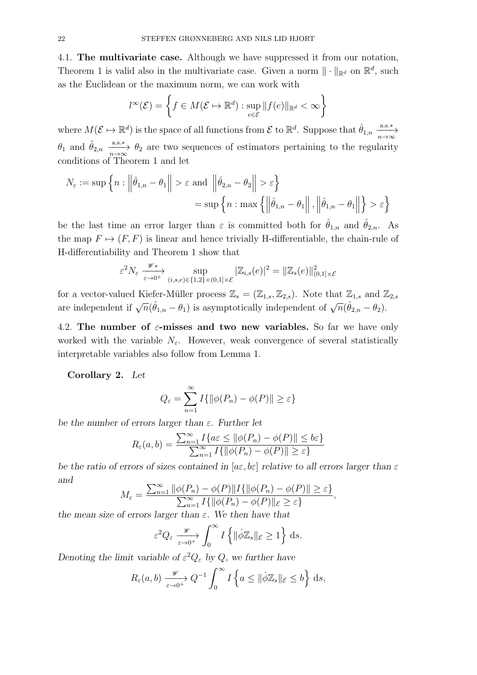4.1. The multivariate case. Although we have suppressed it from our notation, Theorem 1 is valid also in the multivariate case. Given a norm  $\|\cdot\|_{\mathbb{R}^d}$  on  $\mathbb{R}^d$ , such as the Euclidean or the maximum norm, we can work with

$$
l^{\infty}(\mathcal{E}) = \left\{ f \in M(\mathcal{E} \mapsto \mathbb{R}^d) : \sup_{e \in \mathcal{E}} \| f(e) \|_{\mathbb{R}^d} < \infty \right\}
$$

where  $M(\mathcal{E} \mapsto \mathbb{R}^d)$  is the space of all functions from  $\mathcal{E}$  to  $\mathbb{R}^d$ . Suppose that  $\hat{\theta}_{1,n} \xrightarrow[n \to \infty]{a.s.*}$  $\theta_1$  and  $\hat{\theta}_{2,n} \stackrel{\text{a.s.}*}{\longrightarrow} \theta_2$  are two sequences of estimators pertaining to the regularity conditions of Theorem 1 and let

$$
N_{\varepsilon} := \sup \left\{ n : \left\| \hat{\theta}_{1,n} - \theta_1 \right\| > \varepsilon \text{ and } \left\| \hat{\theta}_{2,n} - \theta_2 \right\| > \varepsilon \right\}
$$

$$
= \sup \left\{ n : \max \left\{ \left\| \hat{\theta}_{1,n} - \theta_1 \right\|, \left\| \hat{\theta}_{1,n} - \theta_1 \right\| \right\} > \varepsilon \right\}
$$

be the last time an error larger than  $\varepsilon$  is committed both for  $\hat{\theta}_{1,n}$  and  $\hat{\theta}_{2,n}$ . As the map  $F \mapsto (F, F)$  is linear and hence trivially H-differentiable, the chain-rule of H-differentiability and Theorem 1 show that

$$
\varepsilon^{2} N_{\varepsilon} \xrightarrow[\varepsilon \to 0^{+}]{\mathscr{W}*} \sup_{(i,s,e)\in\{1,2\}\times(0,1]\times\mathscr{E}} |\mathbb{Z}_{i,s}(e)|^{2} = ||\mathbb{Z}_{s}(e)||_{(0,1]\times\mathscr{E}}^{2}
$$

for a vector-valued Kiefer-Müller process  $\mathbb{Z}_s = (\mathbb{Z}_{1,s}, \mathbb{Z}_{2,s})$ . Note that  $\mathbb{Z}_{1,s}$  and  $\mathbb{Z}_{2,s}$ are independent if  $\sqrt{n}(\hat{\theta}_{1,n} - \theta_1)$  is asymptotically independent of  $\sqrt{n}(\hat{\theta}_{2,n} - \theta_2)$ .

4.2. The number of  $\varepsilon$ -misses and two new variables. So far we have only worked with the variable  $N_{\varepsilon}$ . However, weak convergence of several statistically interpretable variables also follow from Lemma 1.

Corollary 2. Let

$$
Q_{\varepsilon} = \sum_{n=1}^{\infty} I\{ \|\phi(P_n) - \phi(P)\| \ge \varepsilon \}
$$

be the number of errors larger than  $\varepsilon$ . Further let

$$
R_{\varepsilon}(a,b) = \frac{\sum_{n=1}^{\infty} I\{a\varepsilon \le ||\phi(P_n) - \phi(P)|| \le b\varepsilon\}}{\sum_{n=1}^{\infty} I\{||\phi(P_n) - \phi(P)|| \ge \varepsilon\}}
$$

be the ratio of errors of sizes contained in  $[a \in b \infty]$  relative to all errors larger than  $\varepsilon$ and

$$
M_{\varepsilon} = \frac{\sum_{n=1}^{\infty} \|\phi(P_n) - \phi(P)\| I\{\|\phi(P_n) - \phi(P)\| \ge \varepsilon\}}{\sum_{n=1}^{\infty} I\{\|\phi(P_n) - \phi(P)\| \varepsilon \ge \varepsilon\}},
$$

the mean size of errors larger than  $\varepsilon$ . We then have that

$$
\varepsilon^2 Q_{\varepsilon} \xrightarrow[\varepsilon \to 0^+]{} \int_0^\infty I\left\{ \|\dot{\phi}\mathbb{Z}_s\|_{\varepsilon} \ge 1 \right\} \,\mathrm{d}s.
$$

Denoting the limit variable of  $\varepsilon^2 Q_{\varepsilon}$  by Q, we further have

$$
R_{\varepsilon}(a,b) \xrightarrow[\varepsilon \to 0^+]{} Q^{-1} \int_0^{\infty} I\left\{a \leq \|\dot{\phi}\mathbb{Z}_s\|_{\mathcal{E}} \leq b\right\} \,\mathrm{d}s,
$$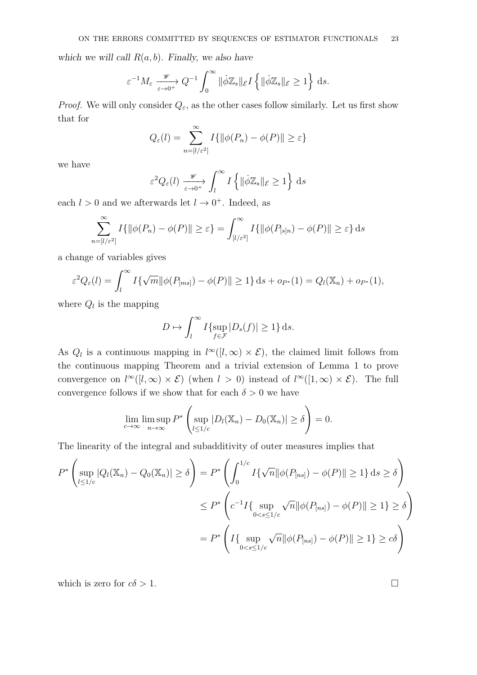which we will call  $R(a, b)$ . Finally, we also have

$$
\varepsilon^{-1} M_{\varepsilon} \xrightarrow[\varepsilon \to 0^+]{} Q^{-1} \int_0^\infty \|\dot{\phi}\mathbb{Z}_s\|_{\varepsilon} I \left\{ \|\dot{\phi}\mathbb{Z}_s\|_{\varepsilon} \ge 1 \right\} ds.
$$

*Proof.* We will only consider  $Q_{\varepsilon}$ , as the other cases follow similarly. Let us first show that for

$$
Q_{\varepsilon}(l) = \sum_{n=[l/\varepsilon^2]}^{\infty} I\{ \|\phi(P_n) - \phi(P)\| \ge \varepsilon \}
$$

we have

$$
\varepsilon^2 Q_{\varepsilon}(l) \xrightarrow[\varepsilon \to 0^+]{\mathscr{W}} \int_{l}^{\infty} I\left\{ \|\dot{\phi}\mathbb{Z}_{s}\|_{\mathcal{E}} \ge 1\right\} ds
$$

each  $l > 0$  and we afterwards let  $l \to 0^+$ . Indeed, as

$$
\sum_{n=[l/\varepsilon^2]}^{\infty} I\{\|\phi(P_n) - \phi(P)\| \ge \varepsilon\} = \int_{[l/\varepsilon^2]}^{\infty} I\{\|\phi(P_{[s]n}) - \phi(P)\| \ge \varepsilon\} ds
$$

a change of variables gives

$$
\varepsilon^2 Q_{\varepsilon}(l) = \int_l^{\infty} I\{\sqrt{m} ||\phi(P_{[ms]}) - \phi(P)|| \ge 1\} ds + op_*(1) = Q_l(\mathbb{X}_n) + op_*(1),
$$

where  $Q_l$  is the mapping

$$
D \mapsto \int_l^{\infty} I\{\sup_{f \in \mathcal{F}} |D_s(f)| \ge 1\} ds.
$$

As  $Q_l$  is a continuous mapping in  $l^{\infty}([l,\infty) \times \mathcal{E})$ , the claimed limit follows from the continuous mapping Theorem and a trivial extension of Lemma 1 to prove convergence on  $l^{\infty}([l,\infty) \times \mathcal{E})$  (when  $l > 0$ ) instead of  $l^{\infty}([1,\infty) \times \mathcal{E})$ . The full convergence follows if we show that for each  $\delta > 0$  we have

$$
\lim_{c \to \infty} \limsup_{n \to \infty} P^* \left( \sup_{l \le 1/c} |D_l(\mathbb{X}_n) - D_0(\mathbb{X}_n)| \ge \delta \right) = 0.
$$

The linearity of the integral and subadditivity of outer measures implies that

$$
P^* \left( \sup_{l \le 1/c} |Q_l(\mathbb{X}_n) - Q_0(\mathbb{X}_n)| \ge \delta \right) = P^* \left( \int_0^{1/c} I\{\sqrt{n} \|\phi(P_{[ns]}) - \phi(P)\| \ge 1\} ds \ge \delta \right)
$$
  

$$
\le P^* \left( c^{-1} I\{\sup_{0 < s \le 1/c} \sqrt{n} \|\phi(P_{[ns]}) - \phi(P)\| \ge 1\} \ge \delta \right)
$$
  

$$
= P^* \left( I\{\sup_{0 < s \le 1/c} \sqrt{n} \|\phi(P_{[ns]}) - \phi(P)\| \ge 1\} \ge c\delta \right)
$$

which is zero for  $c\delta > 1$ .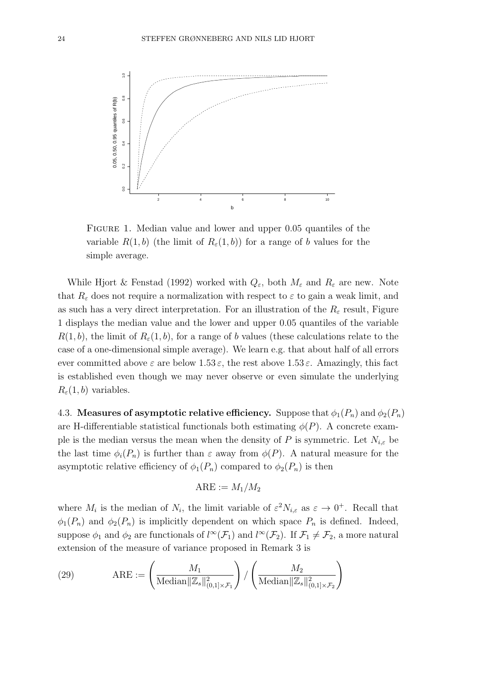

FIGURE 1. Median value and lower and upper 0.05 quantiles of the variable  $R(1, b)$  (the limit of  $R_{\varepsilon}(1, b)$ ) for a range of b values for the simple average.

While Hjort & Fenstad (1992) worked with  $Q_{\varepsilon}$ , both  $M_{\varepsilon}$  and  $R_{\varepsilon}$  are new. Note that  $R_{\varepsilon}$  does not require a normalization with respect to  $\varepsilon$  to gain a weak limit, and as such has a very direct interpretation. For an illustration of the  $R_{\varepsilon}$  result, Figure 1 displays the median value and the lower and upper 0.05 quantiles of the variable  $R(1, b)$ , the limit of  $R_{\varepsilon}(1, b)$ , for a range of b values (these calculations relate to the case of a one-dimensional simple average). We learn e.g. that about half of all errors ever committed above  $\varepsilon$  are below  $1.53 \varepsilon$ , the rest above  $1.53 \varepsilon$ . Amazingly, this fact is established even though we may never observe or even simulate the underlying  $R_{\varepsilon}(1, b)$  variables.

4.3. Measures of asymptotic relative efficiency. Suppose that  $\phi_1(P_n)$  and  $\phi_2(P_n)$ are H-differentiable statistical functionals both estimating  $\phi(P)$ . A concrete example is the median versus the mean when the density of P is symmetric. Let  $N_{i,\varepsilon}$  be the last time  $\phi_i(P_n)$  is further than  $\varepsilon$  away from  $\phi(P)$ . A natural measure for the asymptotic relative efficiency of  $\phi_1(P_n)$  compared to  $\phi_2(P_n)$  is then

$$
\mathrm{ARE}:=M_1/M_2
$$

where  $M_i$  is the median of  $N_i$ , the limit variable of  $\varepsilon^2 N_{i,\varepsilon}$  as  $\varepsilon \to 0^+$ . Recall that  $\phi_1(P_n)$  and  $\phi_2(P_n)$  is implicitly dependent on which space  $P_n$  is defined. Indeed, suppose  $\phi_1$  and  $\phi_2$  are functionals of  $l^{\infty}(\mathcal{F}_1)$  and  $l^{\infty}(\mathcal{F}_2)$ . If  $\mathcal{F}_1 \neq \mathcal{F}_2$ , a more natural extension of the measure of variance proposed in Remark 3 is

(29) 
$$
ARE := \left(\frac{M_1}{\text{Median}||\mathbb{Z}_s||_{(0,1]\times\mathcal{F}_1}^2}\right) / \left(\frac{M_2}{\text{Median}||\mathbb{Z}_s||_{(0,1]\times\mathcal{F}_2}^2}\right)
$$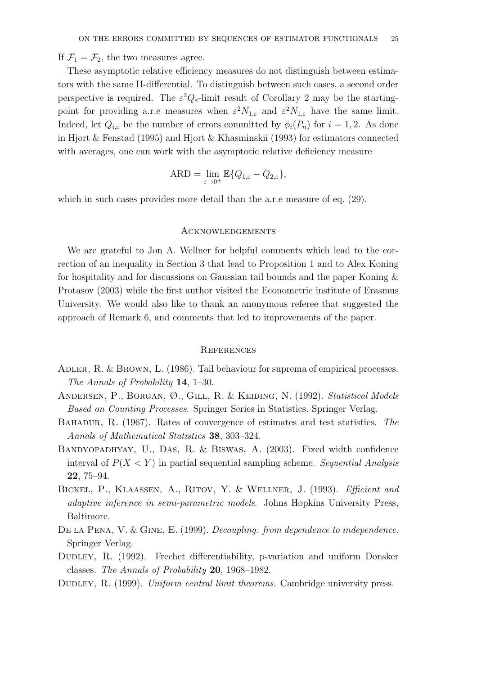If  $\mathcal{F}_1 = \mathcal{F}_2$ , the two measures agree.

These asymptotic relative efficiency measures do not distinguish between estimators with the same H-differential. To distinguish between such cases, a second order perspective is required. The  $\varepsilon^2 Q_{\varepsilon}$ -limit result of Corollary 2 may be the startingpoint for providing a.r.e measures when  $\varepsilon^2 N_{1,\varepsilon}$  and  $\varepsilon^2 N_{1,\varepsilon}$  have the same limit. Indeed, let  $Q_{i,\varepsilon}$  be the number of errors committed by  $\phi_i(P_n)$  for  $i=1,2$ . As done in Hjort & Fenstad (1995) and Hjort & Khasminskii (1993) for estimators connected with averages, one can work with the asymptotic relative deficiency measure

$$
ARD = \lim_{\varepsilon \to 0^+} \mathbb{E} \{ Q_{1,\varepsilon} - Q_{2,\varepsilon} \},
$$

which in such cases provides more detail than the a.r.e measure of eq.  $(29)$ .

#### **ACKNOWLEDGEMENTS**

We are grateful to Jon A. Wellner for helpful comments which lead to the correction of an inequality in Section 3 that lead to Proposition 1 and to Alex Koning for hospitality and for discussions on Gaussian tail bounds and the paper Koning & Protasov (2003) while the first author visited the Econometric institute of Erasmus University. We would also like to thank an anonymous referee that suggested the approach of Remark 6, and comments that led to improvements of the paper.

#### **REFERENCES**

- ADLER, R. & BROWN, L. (1986). Tail behaviour for suprema of empirical processes. The Annals of Probability 14, 1–30.
- ANDERSEN, P., BORGAN, Ø., GILL, R. & KEIDING, N. (1992). Statistical Models Based on Counting Processes. Springer Series in Statistics. Springer Verlag.
- Bahadur, R. (1967). Rates of convergence of estimates and test statistics. The Annals of Mathematical Statistics 38, 303–324.
- Bandyopadhyay, U., Das, R. & Biswas, A. (2003). Fixed width confidence interval of  $P(X \leq Y)$  in partial sequential sampling scheme. Sequential Analysis 22, 75–94.
- BICKEL, P., KLAASSEN, A., RITOV, Y. & WELLNER, J. (1993). Efficient and adaptive inference in semi-parametric models. Johns Hopkins University Press, Baltimore.
- DE LA PENA, V. & GINE, E. (1999). *Decoupling: from dependence to independence*. Springer Verlag.
- Dudley, R. (1992). Frechet differentiability, p-variation and uniform Donsker classes. The Annals of Probability 20, 1968–1982.
- DUDLEY, R. (1999). Uniform central limit theorems. Cambridge university press.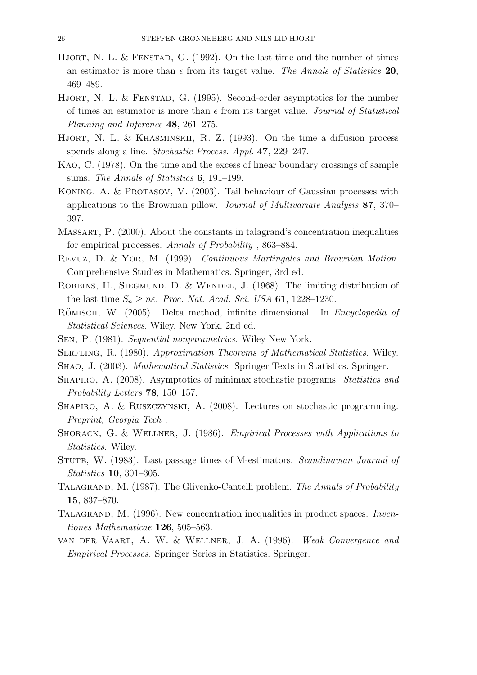- HJORT, N. L. & FENSTAD, G.  $(1992)$ . On the last time and the number of times an estimator is more than  $\epsilon$  from its target value. The Annals of Statistics 20, 469–489.
- HJORT, N. L. & FENSTAD, G. (1995). Second-order asymptotics for the number of times an estimator is more than  $\epsilon$  from its target value. Journal of Statistical Planning and Inference 48, 261–275.
- HJORT, N. L. & KHASMINSKII, R. Z. (1993). On the time a diffusion process spends along a line. Stochastic Process. Appl. 47, 229–247.
- Kao, C. (1978). On the time and the excess of linear boundary crossings of sample sums. The Annals of Statistics **6**, 191–199.
- KONING, A. & PROTASOV, V. (2003). Tail behaviour of Gaussian processes with applications to the Brownian pillow. Journal of Multivariate Analysis 87, 370– 397.
- Massart, P. (2000). About the constants in talagrand's concentration inequalities for empirical processes. Annals of Probability , 863–884.
- Revuz, D. & Yor, M. (1999). Continuous Martingales and Brownian Motion. Comprehensive Studies in Mathematics. Springer, 3rd ed.
- ROBBINS, H., SIEGMUND, D. & WENDEL, J. (1968). The limiting distribution of the last time  $S_n \geq n\varepsilon$ . Proc. Nat. Acad. Sci. USA 61, 1228-1230.
- RÖMISCH, W. (2005). Delta method, infinite dimensional. In *Encyclopedia of* Statistical Sciences. Wiley, New York, 2nd ed.
- Sen, P. (1981). Sequential nonparametrics. Wiley New York.
- SERFLING, R. (1980). Approximation Theorems of Mathematical Statistics. Wiley.
- Shao, J. (2003). Mathematical Statistics. Springer Texts in Statistics. Springer.
- Shapiro, A. (2008). Asymptotics of minimax stochastic programs. Statistics and Probability Letters 78, 150–157.
- Shapiro, A. & Ruszczynski, A. (2008). Lectures on stochastic programming. Preprint, Georgia Tech .
- SHORACK, G. & WELLNER, J. (1986). Empirical Processes with Applications to Statistics. Wiley.
- STUTE, W. (1983). Last passage times of M-estimators. Scandinavian Journal of Statistics 10, 301–305.
- TALAGRAND, M. (1987). The Glivenko-Cantelli problem. The Annals of Probability 15, 837–870.
- TALAGRAND, M. (1996). New concentration inequalities in product spaces. *Inven*tiones Mathematicae 126, 505–563.
- van der Vaart, A. W. & Wellner, J. A. (1996). Weak Convergence and Empirical Processes. Springer Series in Statistics. Springer.